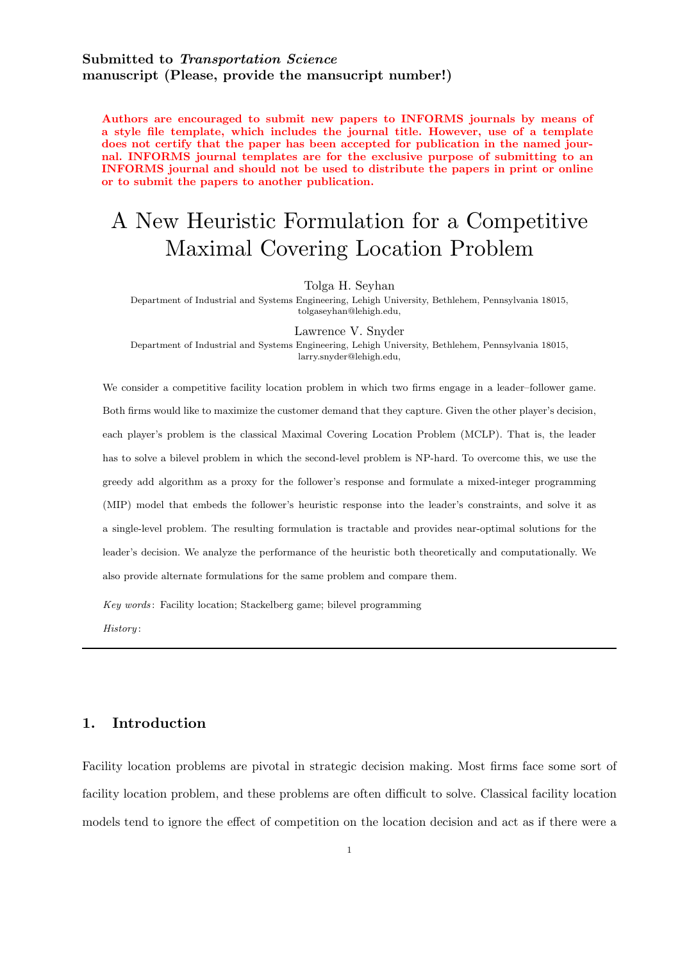## **Submitted to** *Transportation Science* **manuscript (Please, provide the mansucript number!)**

**Authors are encouraged to submit new papers to INFORMS journals by means of a style file template, which includes the journal title. However, use of a template does not certify that the paper has been accepted for publication in the named journal. INFORMS journal templates are for the exclusive purpose of submitting to an INFORMS journal and should not be used to distribute the papers in print or online or to submit the papers to another publication.**

# A New Heuristic Formulation for a Competitive Maximal Covering Location Problem

Tolga H. Seyhan

Department of Industrial and Systems Engineering, Lehigh University, Bethlehem, Pennsylvania 18015, tolgaseyhan@lehigh.edu,

Lawrence V. Snyder

Department of Industrial and Systems Engineering, Lehigh University, Bethlehem, Pennsylvania 18015, larry.snyder@lehigh.edu,

We consider a competitive facility location problem in which two firms engage in a leader–follower game. Both firms would like to maximize the customer demand that they capture. Given the other player's decision, each player's problem is the classical Maximal Covering Location Problem (MCLP). That is, the leader has to solve a bilevel problem in which the second-level problem is NP-hard. To overcome this, we use the greedy add algorithm as a proxy for the follower's response and formulate a mixed-integer programming (MIP) model that embeds the follower's heuristic response into the leader's constraints, and solve it as a single-level problem. The resulting formulation is tractable and provides near-optimal solutions for the leader's decision. We analyze the performance of the heuristic both theoretically and computationally. We also provide alternate formulations for the same problem and compare them.

*Key words* : Facility location; Stackelberg game; bilevel programming

*History* :

## **1. Introduction**

Facility location problems are pivotal in strategic decision making. Most firms face some sort of facility location problem, and these problems are often difficult to solve. Classical facility location models tend to ignore the effect of competition on the location decision and act as if there were a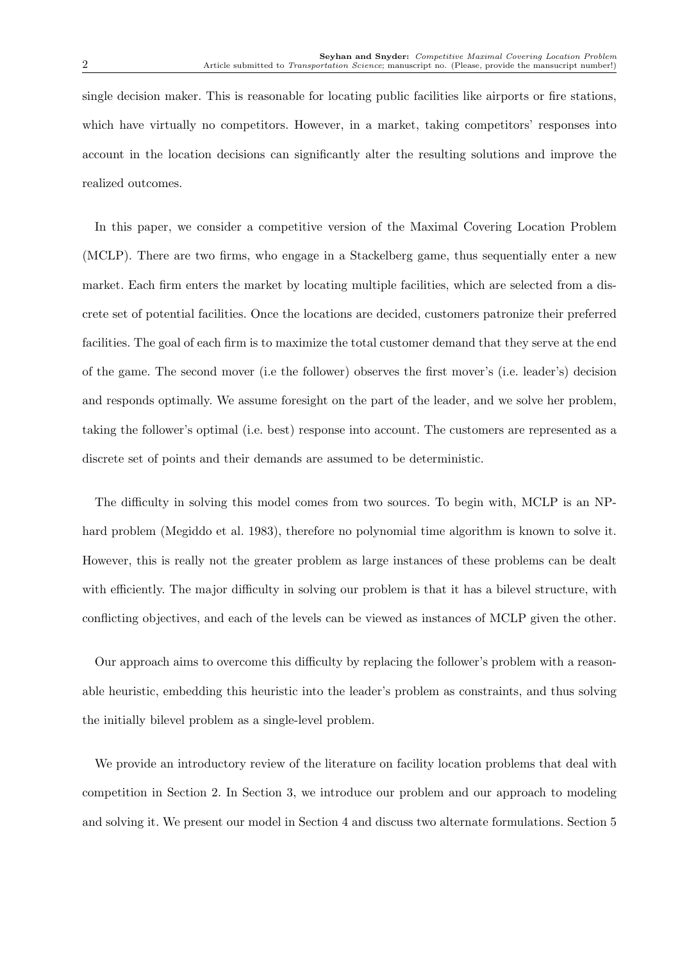single decision maker. This is reasonable for locating public facilities like airports or fire stations, which have virtually no competitors. However, in a market, taking competitors' responses into account in the location decisions can significantly alter the resulting solutions and improve the realized outcomes.

In this paper, we consider a competitive version of the Maximal Covering Location Problem (MCLP). There are two firms, who engage in a Stackelberg game, thus sequentially enter a new market. Each firm enters the market by locating multiple facilities, which are selected from a discrete set of potential facilities. Once the locations are decided, customers patronize their preferred facilities. The goal of each firm is to maximize the total customer demand that they serve at the end of the game. The second mover (i.e the follower) observes the first mover's (i.e. leader's) decision and responds optimally. We assume foresight on the part of the leader, and we solve her problem, taking the follower's optimal (i.e. best) response into account. The customers are represented as a discrete set of points and their demands are assumed to be deterministic.

The difficulty in solving this model comes from two sources. To begin with, MCLP is an NPhard problem (Megiddo et al. 1983), therefore no polynomial time algorithm is known to solve it. However, this is really not the greater problem as large instances of these problems can be dealt with efficiently. The major difficulty in solving our problem is that it has a bilevel structure, with conflicting objectives, and each of the levels can be viewed as instances of MCLP given the other.

Our approach aims to overcome this difficulty by replacing the follower's problem with a reasonable heuristic, embedding this heuristic into the leader's problem as constraints, and thus solving the initially bilevel problem as a single-level problem.

We provide an introductory review of the literature on facility location problems that deal with competition in Section 2. In Section 3, we introduce our problem and our approach to modeling and solving it. We present our model in Section 4 and discuss two alternate formulations. Section 5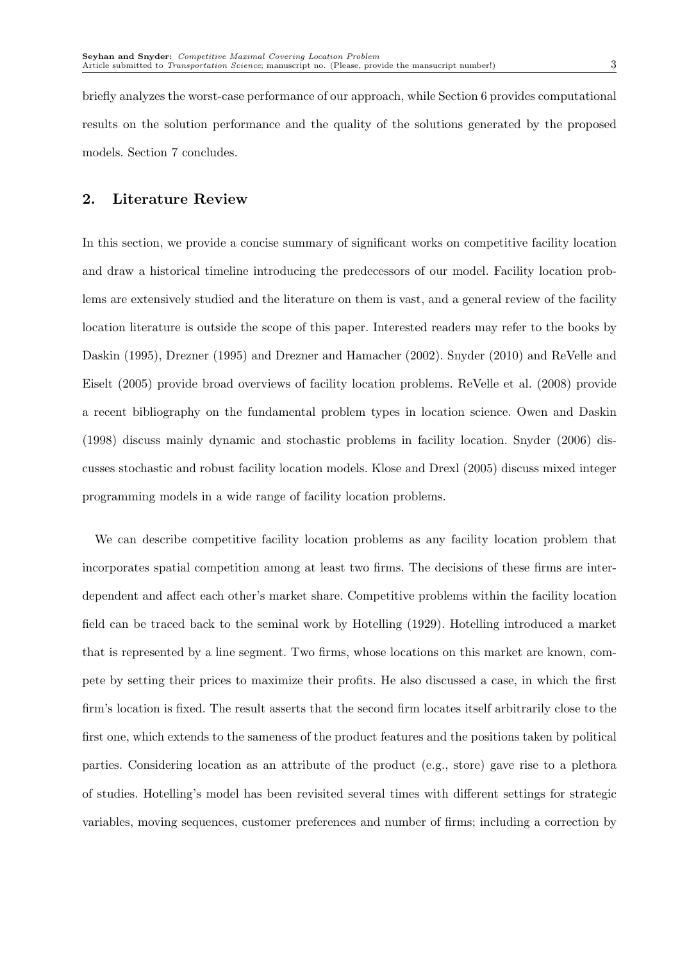briefly analyzes the worst-case performance of our approach, while Section 6 provides computational results on the solution performance and the quality of the solutions generated by the proposed models. Section 7 concludes.

# **2. Literature Review**

In this section, we provide a concise summary of significant works on competitive facility location and draw a historical timeline introducing the predecessors of our model. Facility location problems are extensively studied and the literature on them is vast, and a general review of the facility location literature is outside the scope of this paper. Interested readers may refer to the books by Daskin (1995), Drezner (1995) and Drezner and Hamacher (2002). Snyder (2010) and ReVelle and Eiselt (2005) provide broad overviews of facility location problems. ReVelle et al. (2008) provide a recent bibliography on the fundamental problem types in location science. Owen and Daskin (1998) discuss mainly dynamic and stochastic problems in facility location. Snyder (2006) discusses stochastic and robust facility location models. Klose and Drexl (2005) discuss mixed integer programming models in a wide range of facility location problems.

We can describe competitive facility location problems as any facility location problem that incorporates spatial competition among at least two firms. The decisions of these firms are interdependent and affect each other's market share. Competitive problems within the facility location field can be traced back to the seminal work by Hotelling (1929). Hotelling introduced a market that is represented by a line segment. Two firms, whose locations on this market are known, compete by setting their prices to maximize their profits. He also discussed a case, in which the first firm's location is fixed. The result asserts that the second firm locates itself arbitrarily close to the first one, which extends to the sameness of the product features and the positions taken by political parties. Considering location as an attribute of the product (e.g., store) gave rise to a plethora of studies. Hotelling's model has been revisited several times with different settings for strategic variables, moving sequences, customer preferences and number of firms; including a correction by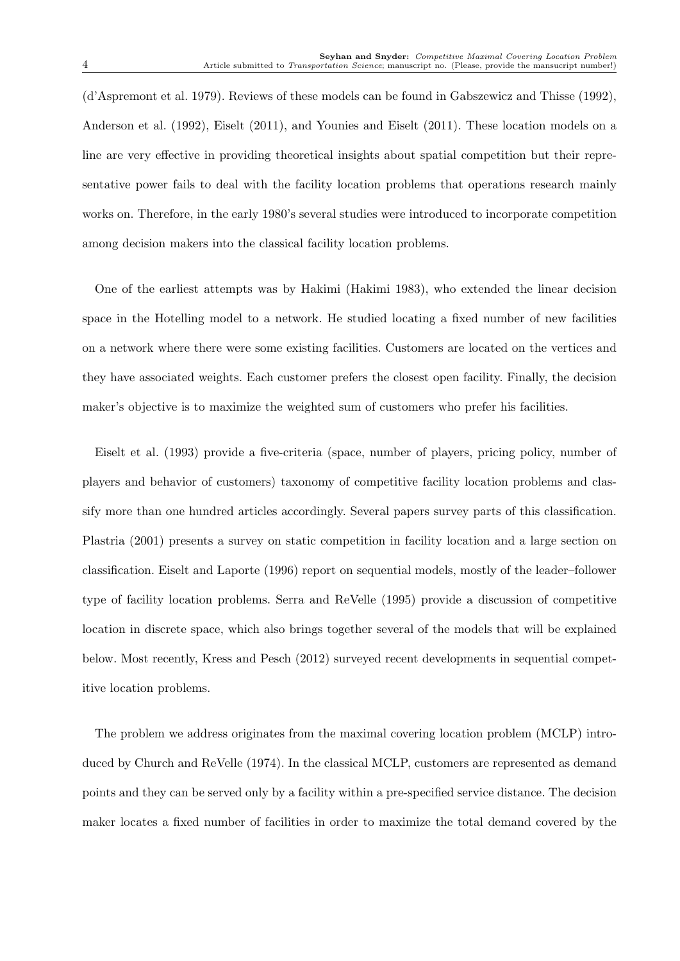(d'Aspremont et al. 1979). Reviews of these models can be found in Gabszewicz and Thisse (1992), Anderson et al. (1992), Eiselt (2011), and Younies and Eiselt (2011). These location models on a line are very effective in providing theoretical insights about spatial competition but their representative power fails to deal with the facility location problems that operations research mainly works on. Therefore, in the early 1980's several studies were introduced to incorporate competition among decision makers into the classical facility location problems.

One of the earliest attempts was by Hakimi (Hakimi 1983), who extended the linear decision space in the Hotelling model to a network. He studied locating a fixed number of new facilities on a network where there were some existing facilities. Customers are located on the vertices and they have associated weights. Each customer prefers the closest open facility. Finally, the decision maker's objective is to maximize the weighted sum of customers who prefer his facilities.

Eiselt et al. (1993) provide a five-criteria (space, number of players, pricing policy, number of players and behavior of customers) taxonomy of competitive facility location problems and classify more than one hundred articles accordingly. Several papers survey parts of this classification. Plastria (2001) presents a survey on static competition in facility location and a large section on classification. Eiselt and Laporte (1996) report on sequential models, mostly of the leader–follower type of facility location problems. Serra and ReVelle (1995) provide a discussion of competitive location in discrete space, which also brings together several of the models that will be explained below. Most recently, Kress and Pesch (2012) surveyed recent developments in sequential competitive location problems.

The problem we address originates from the maximal covering location problem (MCLP) introduced by Church and ReVelle (1974). In the classical MCLP, customers are represented as demand points and they can be served only by a facility within a pre-specified service distance. The decision maker locates a fixed number of facilities in order to maximize the total demand covered by the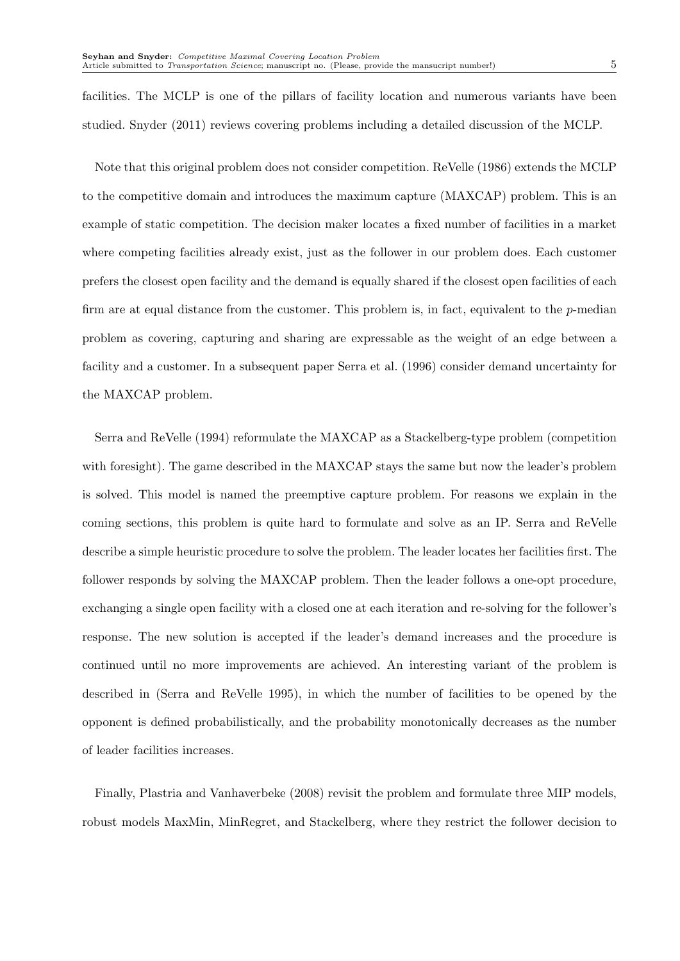facilities. The MCLP is one of the pillars of facility location and numerous variants have been studied. Snyder (2011) reviews covering problems including a detailed discussion of the MCLP.

Note that this original problem does not consider competition. ReVelle (1986) extends the MCLP to the competitive domain and introduces the maximum capture (MAXCAP) problem. This is an example of static competition. The decision maker locates a fixed number of facilities in a market where competing facilities already exist, just as the follower in our problem does. Each customer prefers the closest open facility and the demand is equally shared if the closest open facilities of each firm are at equal distance from the customer. This problem is, in fact, equivalent to the *p*-median problem as covering, capturing and sharing are expressable as the weight of an edge between a facility and a customer. In a subsequent paper Serra et al. (1996) consider demand uncertainty for the MAXCAP problem.

Serra and ReVelle (1994) reformulate the MAXCAP as a Stackelberg-type problem (competition with foresight). The game described in the MAXCAP stays the same but now the leader's problem is solved. This model is named the preemptive capture problem. For reasons we explain in the coming sections, this problem is quite hard to formulate and solve as an IP. Serra and ReVelle describe a simple heuristic procedure to solve the problem. The leader locates her facilities first. The follower responds by solving the MAXCAP problem. Then the leader follows a one-opt procedure, exchanging a single open facility with a closed one at each iteration and re-solving for the follower's response. The new solution is accepted if the leader's demand increases and the procedure is continued until no more improvements are achieved. An interesting variant of the problem is described in (Serra and ReVelle 1995), in which the number of facilities to be opened by the opponent is defined probabilistically, and the probability monotonically decreases as the number of leader facilities increases.

Finally, Plastria and Vanhaverbeke (2008) revisit the problem and formulate three MIP models, robust models MaxMin, MinRegret, and Stackelberg, where they restrict the follower decision to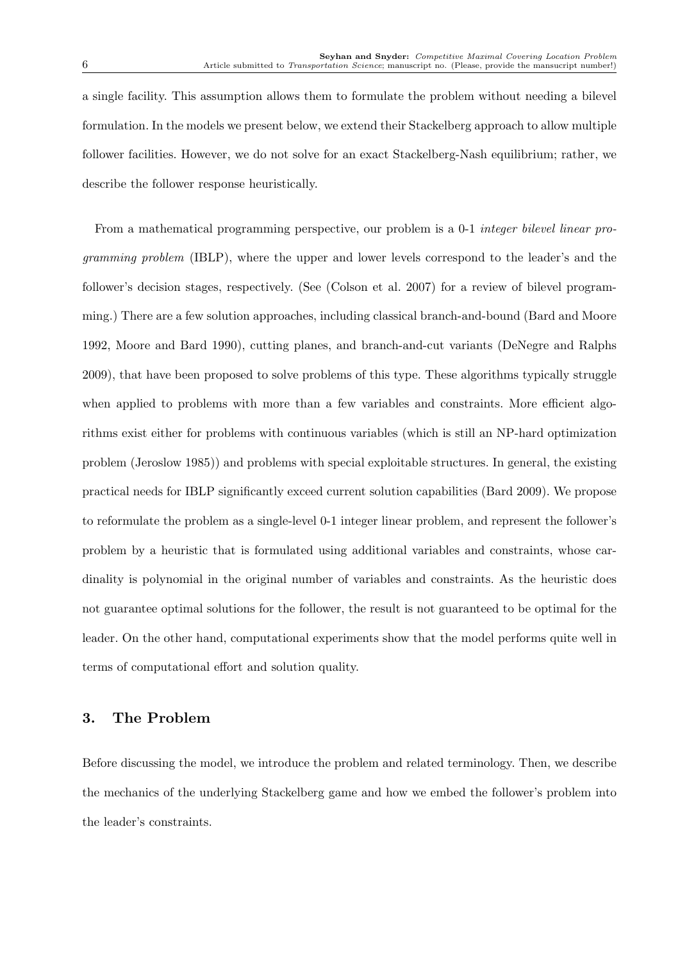a single facility. This assumption allows them to formulate the problem without needing a bilevel formulation. In the models we present below, we extend their Stackelberg approach to allow multiple follower facilities. However, we do not solve for an exact Stackelberg-Nash equilibrium; rather, we describe the follower response heuristically.

From a mathematical programming perspective, our problem is a 0-1 *integer bilevel linear programming problem* (IBLP), where the upper and lower levels correspond to the leader's and the follower's decision stages, respectively. (See (Colson et al. 2007) for a review of bilevel programming.) There are a few solution approaches, including classical branch-and-bound (Bard and Moore 1992, Moore and Bard 1990), cutting planes, and branch-and-cut variants (DeNegre and Ralphs 2009), that have been proposed to solve problems of this type. These algorithms typically struggle when applied to problems with more than a few variables and constraints. More efficient algorithms exist either for problems with continuous variables (which is still an NP-hard optimization problem (Jeroslow 1985)) and problems with special exploitable structures. In general, the existing practical needs for IBLP significantly exceed current solution capabilities (Bard 2009). We propose to reformulate the problem as a single-level 0-1 integer linear problem, and represent the follower's problem by a heuristic that is formulated using additional variables and constraints, whose cardinality is polynomial in the original number of variables and constraints. As the heuristic does not guarantee optimal solutions for the follower, the result is not guaranteed to be optimal for the leader. On the other hand, computational experiments show that the model performs quite well in terms of computational effort and solution quality.

## **3. The Problem**

Before discussing the model, we introduce the problem and related terminology. Then, we describe the mechanics of the underlying Stackelberg game and how we embed the follower's problem into the leader's constraints.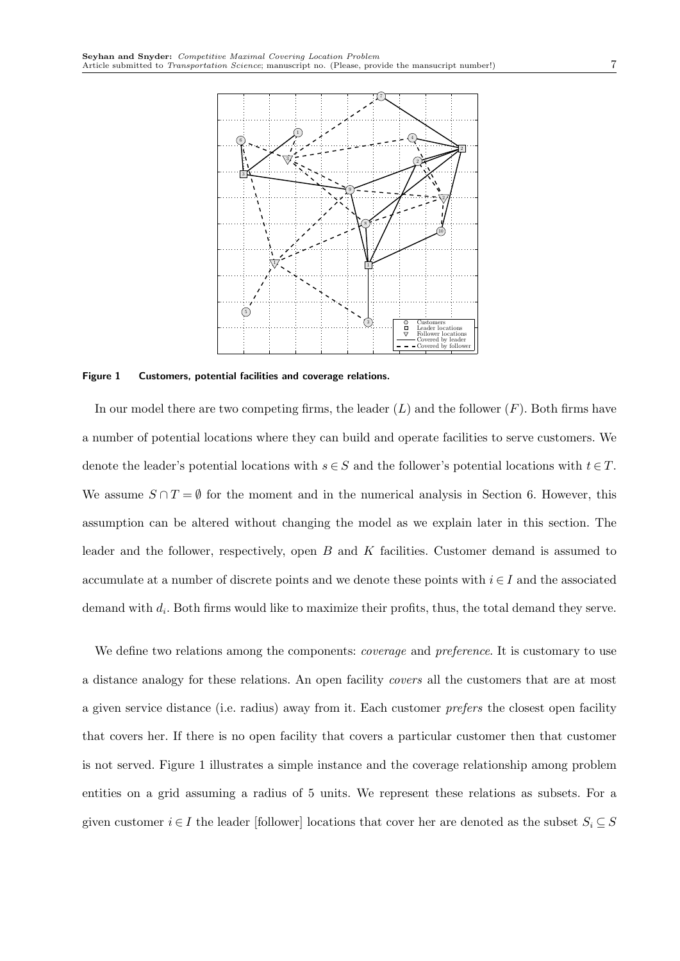

**Figure 1 Customers, potential facilities and coverage relations.**

In our model there are two competing firms, the leader (*L*) and the follower (*F*). Both firms have a number of potential locations where they can build and operate facilities to serve customers. We denote the leader's potential locations with  $s \in S$  and the follower's potential locations with  $t \in T$ . We assume  $S \cap T = \emptyset$  for the moment and in the numerical analysis in Section 6. However, this assumption can be altered without changing the model as we explain later in this section. The leader and the follower, respectively, open *B* and *K* facilities. Customer demand is assumed to accumulate at a number of discrete points and we denote these points with  $i \in I$  and the associated demand with  $d_i$ . Both firms would like to maximize their profits, thus, the total demand they serve.

We define two relations among the components: *coverage* and *preference*. It is customary to use a distance analogy for these relations. An open facility *covers* all the customers that are at most a given service distance (i.e. radius) away from it. Each customer *prefers* the closest open facility that covers her. If there is no open facility that covers a particular customer then that customer is not served. Figure 1 illustrates a simple instance and the coverage relationship among problem entities on a grid assuming a radius of 5 units. We represent these relations as subsets. For a given customer  $i \in I$  the leader [follower] locations that cover her are denoted as the subset  $S_i \subseteq S$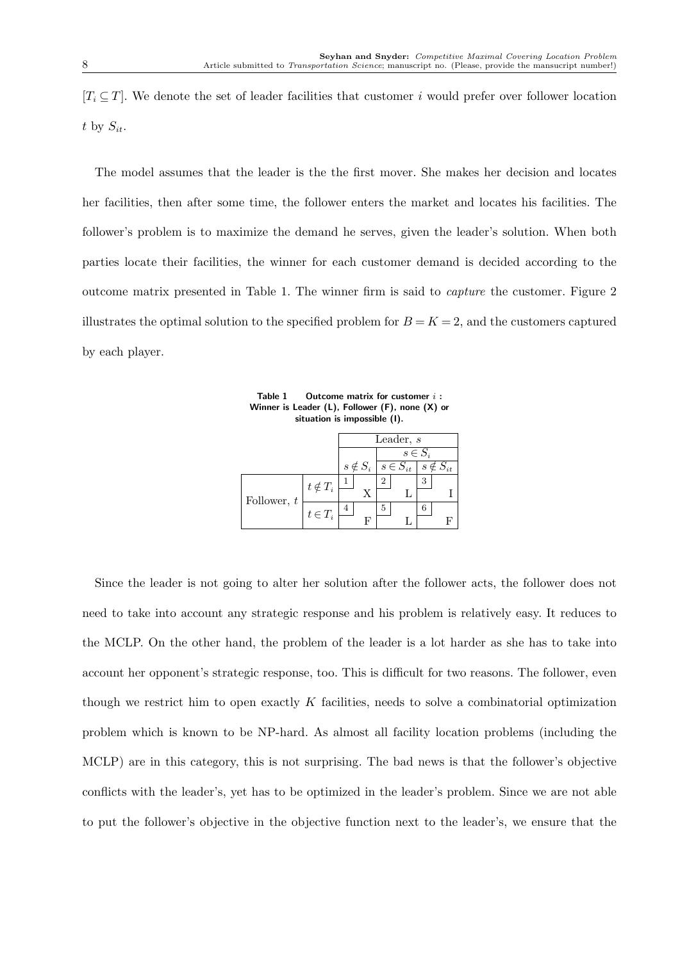$[T_i \subseteq T]$ . We denote the set of leader facilities that customer *i* would prefer over follower location  $t$  by  $S_{it}$ .

The model assumes that the leader is the the first mover. She makes her decision and locates her facilities, then after some time, the follower enters the market and locates his facilities. The follower's problem is to maximize the demand he serves, given the leader's solution. When both parties locate their facilities, the winner for each customer demand is decided according to the outcome matrix presented in Table 1. The winner firm is said to *capture* the customer. Figure 2 illustrates the optimal solution to the specified problem for  $B = K = 2$ , and the customers captured by each player.

**Table 1 Outcome matrix for customer** *i* **: Winner is Leader (L), Follower (F), none (X) or situation is impossible (I).**

|               | Leader, $s$    |  |   |   |                                       |   |                   |
|---------------|----------------|--|---|---|---------------------------------------|---|-------------------|
|               |                |  |   |   | $s \in S_i$                           |   |                   |
|               |                |  |   |   | $s \notin S_i \mid s \in S_{it} \mid$ |   | $s \notin S_{it}$ |
|               | $t \notin T_i$ |  |   | 2 |                                       | 3 |                   |
| Follower, $t$ |                |  |   |   |                                       |   |                   |
|               | $t\in T_i$     |  |   | 5 |                                       |   |                   |
|               |                |  | F |   |                                       |   |                   |

Since the leader is not going to alter her solution after the follower acts, the follower does not need to take into account any strategic response and his problem is relatively easy. It reduces to the MCLP. On the other hand, the problem of the leader is a lot harder as she has to take into account her opponent's strategic response, too. This is difficult for two reasons. The follower, even though we restrict him to open exactly *K* facilities, needs to solve a combinatorial optimization problem which is known to be NP-hard. As almost all facility location problems (including the MCLP) are in this category, this is not surprising. The bad news is that the follower's objective conflicts with the leader's, yet has to be optimized in the leader's problem. Since we are not able to put the follower's objective in the objective function next to the leader's, we ensure that the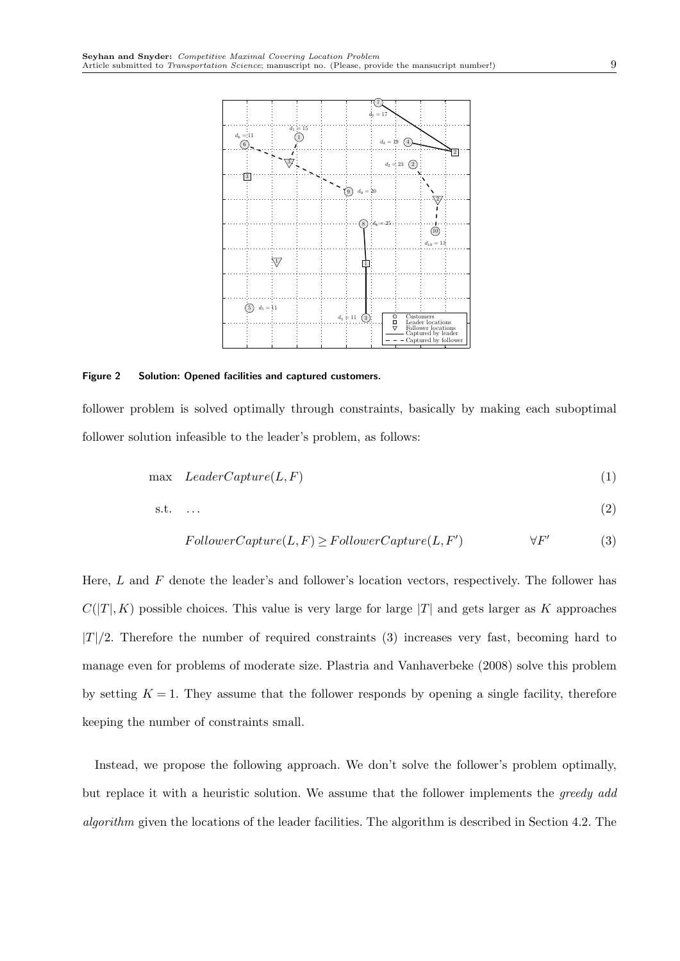

#### **Figure 2 Solution: Opened facilities and captured customers.**

follower problem is solved optimally through constraints, basically by making each suboptimal follower solution infeasible to the leader's problem, as follows:

$$
\max \quad LeaderCapture(L, F) \tag{1}
$$

$$
s.t. \t(2)
$$

$$
Follower Capture(L, F) \ge Follower Capture(L, F') \qquad \forall F'
$$
 (3)

Here, *L* and *F* denote the leader's and follower's location vectors, respectively. The follower has  $C(|T|, K)$  possible choices. This value is very large for large *|T|* and gets larger as *K* approaches *|T|/*2. Therefore the number of required constraints (3) increases very fast, becoming hard to manage even for problems of moderate size. Plastria and Vanhaverbeke (2008) solve this problem by setting  $K = 1$ . They assume that the follower responds by opening a single facility, therefore keeping the number of constraints small.

Instead, we propose the following approach. We don't solve the follower's problem optimally, but replace it with a heuristic solution. We assume that the follower implements the *greedy add algorithm* given the locations of the leader facilities. The algorithm is described in Section 4.2. The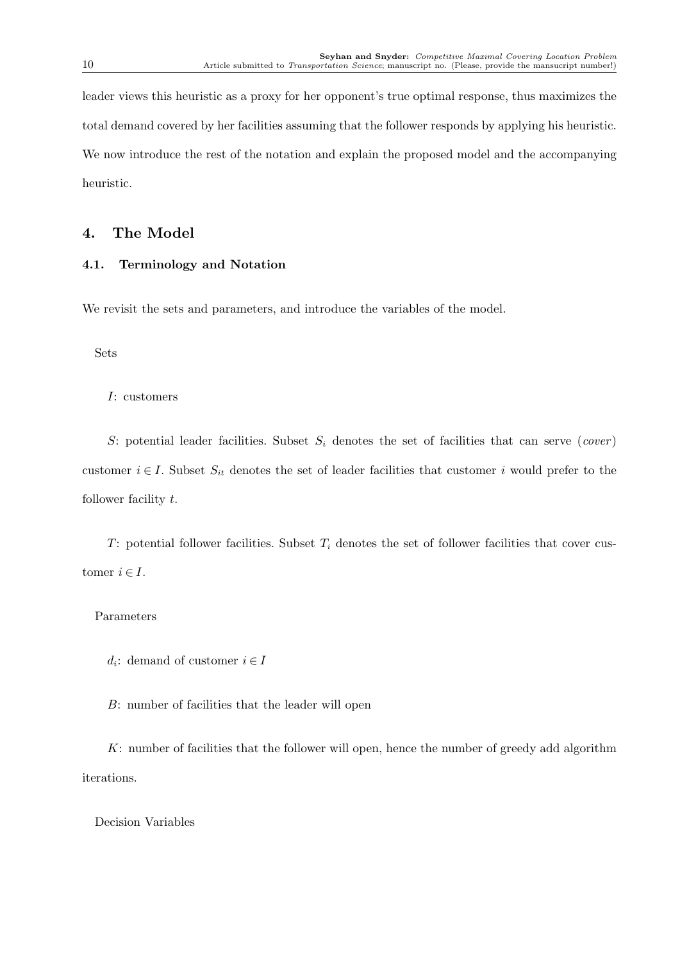leader views this heuristic as a proxy for her opponent's true optimal response, thus maximizes the total demand covered by her facilities assuming that the follower responds by applying his heuristic. We now introduce the rest of the notation and explain the proposed model and the accompanying heuristic.

## **4. The Model**

## **4.1. Terminology and Notation**

We revisit the sets and parameters, and introduce the variables of the model.

Sets

*I*: customers

*S*: potential leader facilities. Subset *S<sup>i</sup>* denotes the set of facilities that can serve (*cover* ) customer  $i \in I$ . Subset  $S_{it}$  denotes the set of leader facilities that customer *i* would prefer to the follower facility *t*.

*T*: potential follower facilities. Subset *T<sup>i</sup>* denotes the set of follower facilities that cover customer  $i \in I$ .

Parameters

 $d_i$ : demand of customer  $i \in I$ 

*B*: number of facilities that the leader will open

*K*: number of facilities that the follower will open, hence the number of greedy add algorithm iterations.

Decision Variables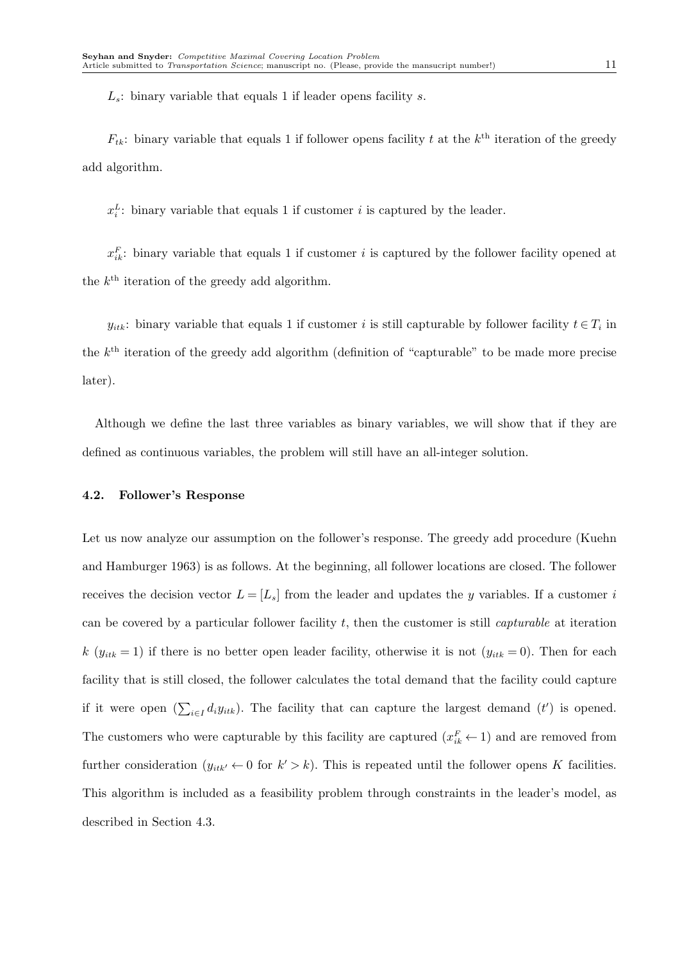*Ls*: binary variable that equals 1 if leader opens facility *s*.

 $F_{tk}$ : binary variable that equals 1 if follower opens facility *t* at the  $k^{\text{th}}$  iteration of the greedy add algorithm.

 $x_i^L$ : binary variable that equals 1 if customer *i* is captured by the leader.

 $x_{ik}^F$ : binary variable that equals 1 if customer *i* is captured by the follower facility opened at the  $k^{\text{th}}$  iteration of the greedy add algorithm.

*y*<sub>*i*tk</sub>: binary variable that equals 1 if customer *i* is still capturable by follower facility  $t \in T$ <sup>*i*</sup> in the  $k<sup>th</sup>$  iteration of the greedy add algorithm (definition of "capturable" to be made more precise later).

Although we define the last three variables as binary variables, we will show that if they are defined as continuous variables, the problem will still have an all-integer solution.

#### **4.2. Follower's Response**

Let us now analyze our assumption on the follower's response. The greedy add procedure (Kuehn and Hamburger 1963) is as follows. At the beginning, all follower locations are closed. The follower receives the decision vector  $L = [L_s]$  from the leader and updates the *y* variables. If a customer *i* can be covered by a particular follower facility *t*, then the customer is still *capturable* at iteration *k* ( $y_{itk} = 1$ ) if there is no better open leader facility, otherwise it is not ( $y_{itk} = 0$ ). Then for each facility that is still closed, the follower calculates the total demand that the facility could capture if it were open  $(\sum_{i \in I} d_i y_{itk})$ . The facility that can capture the largest demand  $(t')$  is opened. The customers who were capturable by this facility are captured  $(x_{ik}^F \leftarrow 1)$  and are removed from further consideration  $(y_{itk'} \leftarrow 0$  for  $k' > k$ ). This is repeated until the follower opens *K* facilities. This algorithm is included as a feasibility problem through constraints in the leader's model, as described in Section 4.3.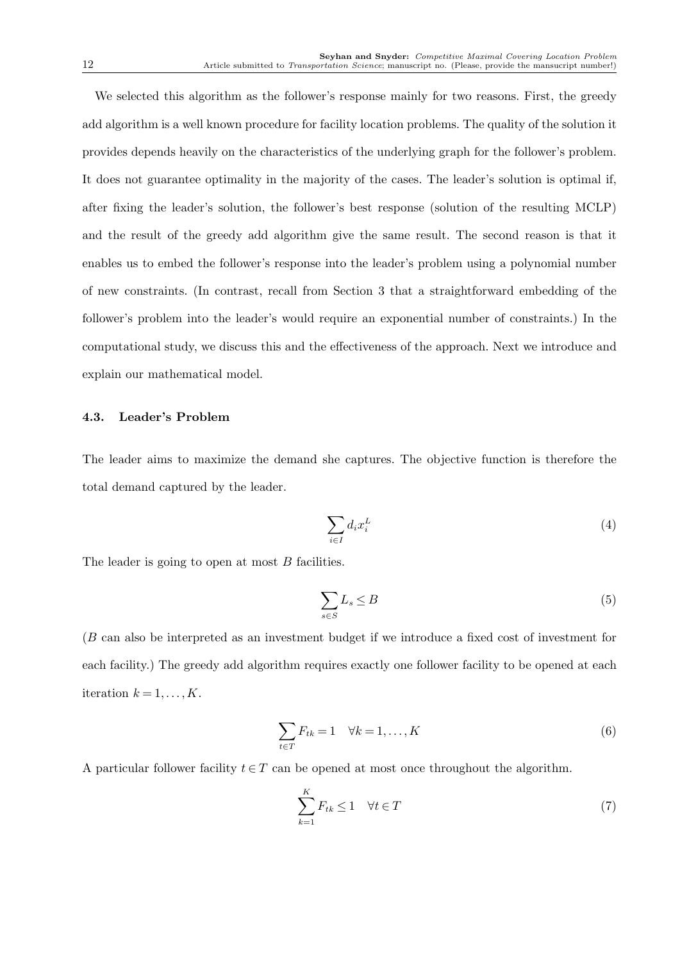We selected this algorithm as the follower's response mainly for two reasons. First, the greedy add algorithm is a well known procedure for facility location problems. The quality of the solution it provides depends heavily on the characteristics of the underlying graph for the follower's problem. It does not guarantee optimality in the majority of the cases. The leader's solution is optimal if, after fixing the leader's solution, the follower's best response (solution of the resulting MCLP) and the result of the greedy add algorithm give the same result. The second reason is that it enables us to embed the follower's response into the leader's problem using a polynomial number of new constraints. (In contrast, recall from Section 3 that a straightforward embedding of the follower's problem into the leader's would require an exponential number of constraints.) In the computational study, we discuss this and the effectiveness of the approach. Next we introduce and explain our mathematical model.

## **4.3. Leader's Problem**

The leader aims to maximize the demand she captures. The objective function is therefore the total demand captured by the leader.

$$
\sum_{i \in I} d_i x_i^L \tag{4}
$$

The leader is going to open at most *B* facilities.

$$
\sum_{s \in S} L_s \le B \tag{5}
$$

(*B* can also be interpreted as an investment budget if we introduce a fixed cost of investment for each facility.) The greedy add algorithm requires exactly one follower facility to be opened at each iteration  $k = 1, \ldots, K$ .

$$
\sum_{t \in T} F_{tk} = 1 \quad \forall k = 1, \dots, K \tag{6}
$$

A particular follower facility  $t \in T$  can be opened at most once throughout the algorithm.

$$
\sum_{k=1}^{K} F_{tk} \le 1 \quad \forall t \in T \tag{7}
$$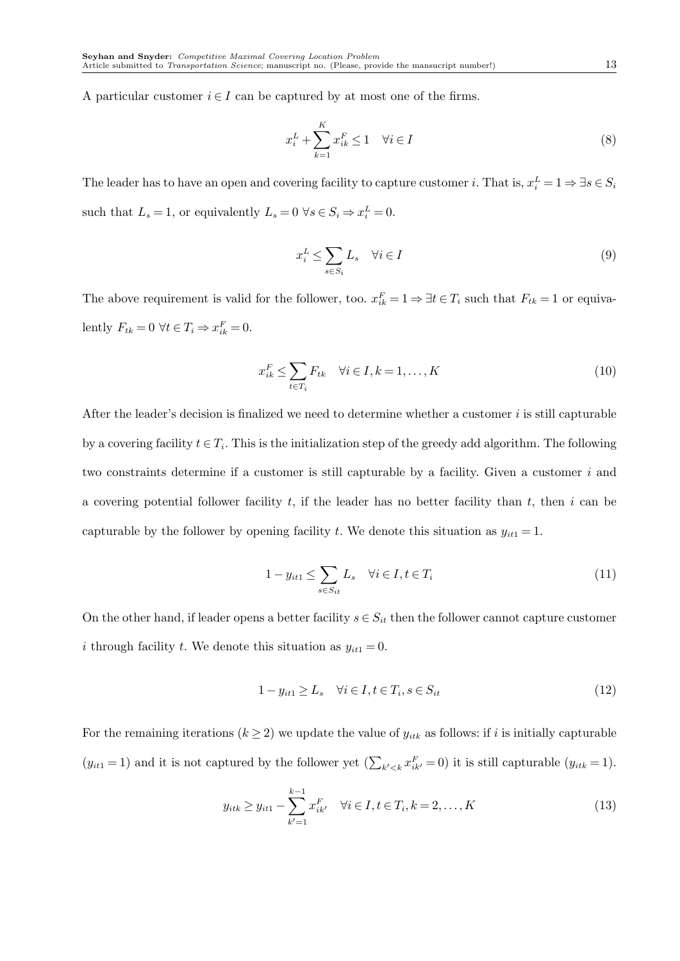A particular customer  $i \in I$  can be captured by at most one of the firms.

$$
x_i^L + \sum_{k=1}^K x_{ik}^F \le 1 \quad \forall i \in I
$$
\n
$$
(8)
$$

The leader has to have an open and covering facility to capture customer *i*. That is,  $x_i^L = 1 \Rightarrow \exists s \in S_i$ such that  $L_s = 1$ , or equivalently  $L_s = 0 \ \forall s \in S_i \Rightarrow x_i^L = 0$ .

$$
x_i^L \le \sum_{s \in S_i} L_s \quad \forall i \in I \tag{9}
$$

The above requirement is valid for the follower, too.  $x_{ik}^F = 1 \Rightarrow \exists t \in T_i$  such that  $F_{tk} = 1$  or equivalently  $F_{tk} = 0 \ \forall t \in T_i \Rightarrow x_{ik}^F = 0.$ 

$$
x_{ik}^F \le \sum_{t \in T_i} F_{tk} \quad \forall i \in I, k = 1, \dots, K
$$
\n
$$
(10)
$$

After the leader's decision is finalized we need to determine whether a customer *i* is still capturable by a covering facility  $t \in T_i$ . This is the initialization step of the greedy add algorithm. The following two constraints determine if a customer is still capturable by a facility. Given a customer *i* and a covering potential follower facility *t*, if the leader has no better facility than *t*, then *i* can be capturable by the follower by opening facility *t*. We denote this situation as  $y_{it1} = 1$ .

$$
1 - y_{it1} \le \sum_{s \in S_{it}} L_s \quad \forall i \in I, t \in T_i \tag{11}
$$

On the other hand, if leader opens a better facility  $s \in S_{it}$  then the follower cannot capture customer *i* through facility *t*. We denote this situation as  $y_{it1} = 0$ .

$$
1 - y_{it1} \ge L_s \quad \forall i \in I, t \in T_i, s \in S_{it} \tag{12}
$$

For the remaining iterations ( $k \geq 2$ ) we update the value of  $y_{itk}$  as follows: if *i* is initially capturable  $(y_{it1} = 1)$  and it is not captured by the follower yet  $(\sum_{k' < k} x_{ik'}^F = 0)$  it is still capturable  $(y_{itk} = 1)$ .

$$
y_{itk} \ge y_{it1} - \sum_{k'=1}^{k-1} x_{ik'}^{F} \quad \forall i \in I, t \in T_i, k = 2, ..., K
$$
 (13)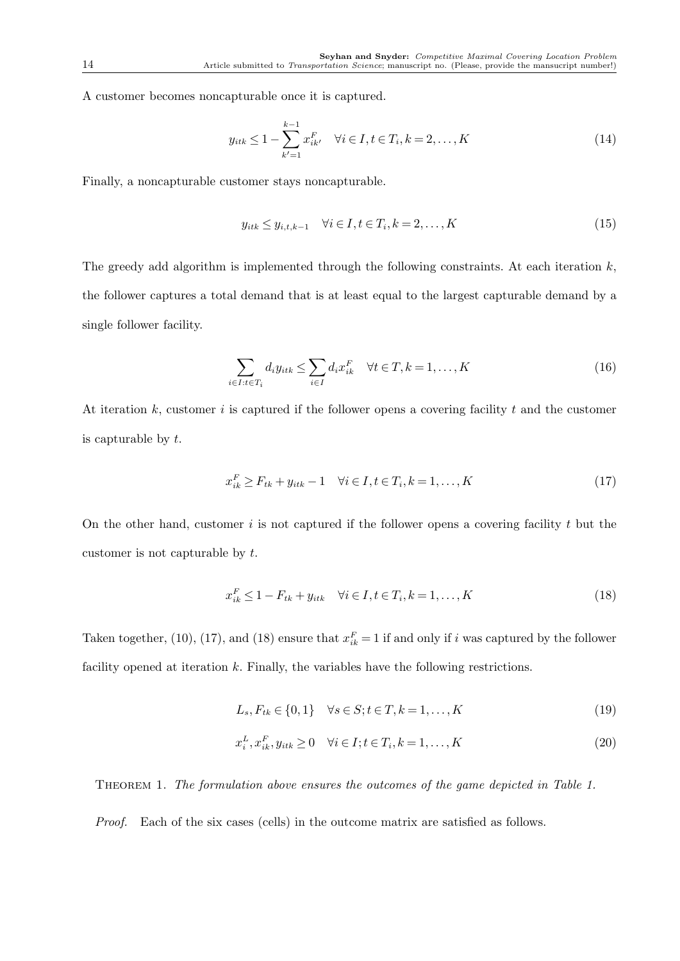A customer becomes noncapturable once it is captured.

$$
y_{itk} \le 1 - \sum_{k'=1}^{k-1} x_{ik'}^F \quad \forall i \in I, t \in T_i, k = 2, ..., K
$$
 (14)

Finally, a noncapturable customer stays noncapturable.

$$
y_{itk} \le y_{i,t,k-1} \quad \forall i \in I, t \in T_i, k = 2, \dots, K \tag{15}
$$

The greedy add algorithm is implemented through the following constraints. At each iteration *k*, the follower captures a total demand that is at least equal to the largest capturable demand by a single follower facility.

$$
\sum_{i \in I: t \in T_i} d_i y_{itk} \le \sum_{i \in I} d_i x_{ik}^F \quad \forall t \in T, k = 1, \dots, K
$$
\n(16)

At iteration *k*, customer *i* is captured if the follower opens a covering facility *t* and the customer is capturable by *t*.

$$
x_{ik}^F \ge F_{tk} + y_{itk} - 1 \quad \forall i \in I, t \in T_i, k = 1, \dots, K
$$
\n
$$
(17)
$$

On the other hand, customer *i* is not captured if the follower opens a covering facility *t* but the customer is not capturable by *t*.

$$
x_{ik}^F \le 1 - F_{tk} + y_{itk} \quad \forall i \in I, t \in T_i, k = 1, \dots, K
$$
\n
$$
(18)
$$

Taken together, (10), (17), and (18) ensure that  $x_{ik}^F = 1$  if and only if *i* was captured by the follower facility opened at iteration *k*. Finally, the variables have the following restrictions.

$$
L_s, F_{tk} \in \{0, 1\} \quad \forall s \in S; t \in T, k = 1, \dots, K \tag{19}
$$

$$
x_i^L, x_{ik}^F, y_{itk} \ge 0 \quad \forall i \in I; t \in T_i, k = 1, \dots, K
$$
\n
$$
(20)
$$

Theorem 1. *The formulation above ensures the outcomes of the game depicted in Table 1.*

*Proof.* Each of the six cases (cells) in the outcome matrix are satisfied as follows.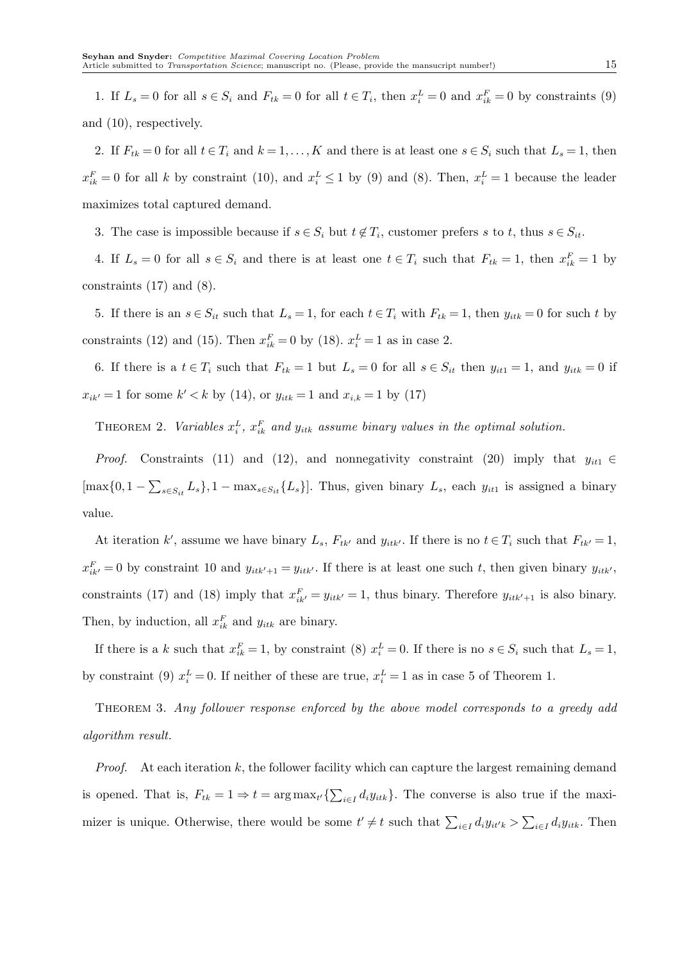1. If  $L_s = 0$  for all  $s \in S_i$  and  $F_{tk} = 0$  for all  $t \in T_i$ , then  $x_i^L = 0$  and  $x_{ik}^F = 0$  by constraints (9) and (10), respectively.

2. If  $F_{tk} = 0$  for all  $t \in T_i$  and  $k = 1, ..., K$  and there is at least one  $s \in S_i$  such that  $L_s = 1$ , then  $x_{ik}^F = 0$  for all *k* by constraint (10), and  $x_i^L \le 1$  by (9) and (8). Then,  $x_i^L = 1$  because the leader maximizes total captured demand.

3. The case is impossible because if  $s \in S_i$  but  $t \notin T_i$ , customer prefers *s* to *t*, thus  $s \in S_i$ .

4. If  $L_s = 0$  for all  $s \in S_i$  and there is at least one  $t \in T_i$  such that  $F_{tk} = 1$ , then  $x_{ik}^F = 1$  by constraints (17) and (8).

5. If there is an  $s \in S_i$  such that  $L_s = 1$ , for each  $t \in T_i$  with  $F_{tk} = 1$ , then  $y_{itk} = 0$  for such  $t$  by constraints (12) and (15). Then  $x_{ik}^F = 0$  by (18).  $x_i^L = 1$  as in case 2.

6. If there is a  $t \in T_i$  such that  $F_{tk} = 1$  but  $L_s = 0$  for all  $s \in S_{it}$  then  $y_{it1} = 1$ , and  $y_{itk} = 0$  if  $x_{ik'} = 1$  for some  $k' < k$  by (14), or  $y_{itk} = 1$  and  $x_{i,k} = 1$  by (17)

THEOREM 2. *Variables*  $x_i^L$ ,  $x_{ik}^F$  and  $y_{itk}$  assume binary values in the optimal solution.

*Proof.* Constraints (11) and (12), and nonnegativity constraint (20) imply that  $y_{it1} \in$  $[\max\{0, 1-\sum_{s\in S_{it}}L_s\}, 1-\max_{s\in S_{it}}\{L_s\}].$  Thus, given binary  $L_s$ , each  $y_{it1}$  is assigned a binary value.

At iteration  $k'$ , assume we have binary  $L_s$ ,  $F_{tk'}$  and  $y_{itk'}$ . If there is no  $t \in T_i$  such that  $F_{tk'} = 1$ ,  $x_{ik}^F = 0$  by constraint 10 and  $y_{itk'+1} = y_{itk'}$ . If there is at least one such *t*, then given binary  $y_{itk'}$ , constraints (17) and (18) imply that  $x_{ik'}^F = y_{itk'} = 1$ , thus binary. Therefore  $y_{itk'+1}$  is also binary. Then, by induction, all  $x_{ik}^F$  and  $y_{itk}$  are binary.

If there is a *k* such that  $x_{ik}^F = 1$ , by constraint (8)  $x_i^L = 0$ . If there is no  $s \in S_i$  such that  $L_s = 1$ , by constraint (9)  $x_i^L = 0$ . If neither of these are true,  $x_i^L = 1$  as in case 5 of Theorem 1.

Theorem 3. *Any follower response enforced by the above model corresponds to a greedy add algorithm result.*

*Proof.* At each iteration k, the follower facility which can capture the largest remaining demand is opened. That is,  $F_{tk} = 1 \Rightarrow t = \arg \max_{t'} {\sum_{i \in I} d_i y_{itk}}$ . The converse is also true if the maximizer is unique. Otherwise, there would be some  $t' \neq t$  such that  $\sum_{i \in I} d_i y_{it'k} > \sum_{i \in I} d_i y_{itk}$ . Then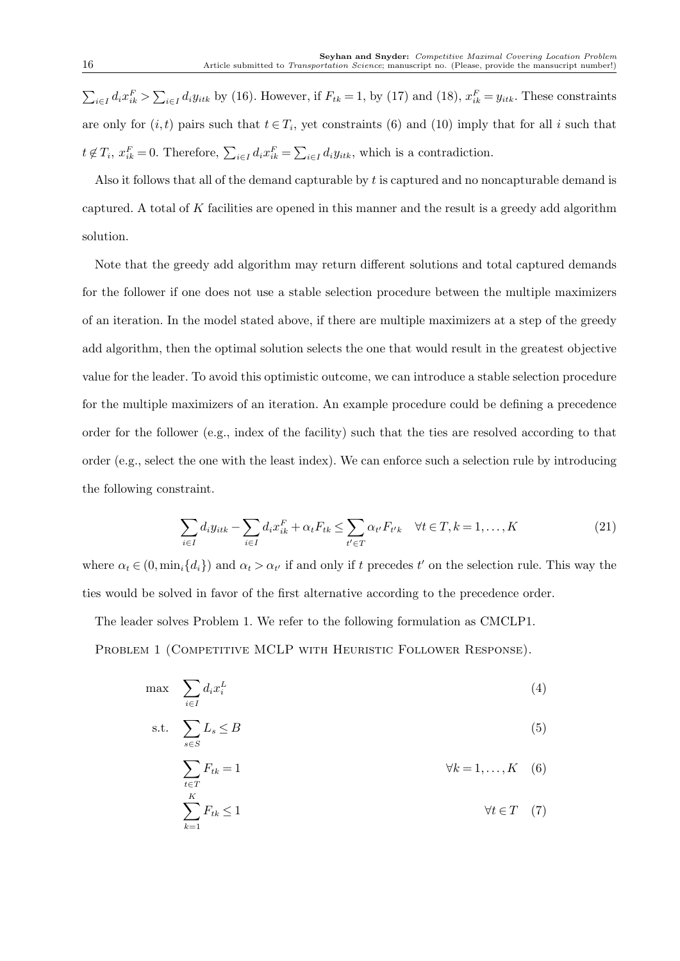$\sum_{i\in I} d_i x_{ik}^F > \sum_{i\in I} d_i y_{itk}$  by (16). However, if  $F_{tk} = 1$ , by (17) and (18),  $x_{ik}^F = y_{itk}$ . These constraints are only for  $(i, t)$  pairs such that  $t \in T_i$ , yet constraints (6) and (10) imply that for all *i* such that  $t \notin T_i$ ,  $x_{ik}^F = 0$ . Therefore,  $\sum_{i \in I} d_i x_{ik}^F = \sum_{i \in I} d_i y_{itk}$ , which is a contradiction.

Also it follows that all of the demand capturable by *t* is captured and no noncapturable demand is captured. A total of *K* facilities are opened in this manner and the result is a greedy add algorithm solution.

Note that the greedy add algorithm may return different solutions and total captured demands for the follower if one does not use a stable selection procedure between the multiple maximizers of an iteration. In the model stated above, if there are multiple maximizers at a step of the greedy add algorithm, then the optimal solution selects the one that would result in the greatest objective value for the leader. To avoid this optimistic outcome, we can introduce a stable selection procedure for the multiple maximizers of an iteration. An example procedure could be defining a precedence order for the follower (e.g., index of the facility) such that the ties are resolved according to that order (e.g., select the one with the least index). We can enforce such a selection rule by introducing the following constraint.

$$
\sum_{i \in I} d_i y_{itk} - \sum_{i \in I} d_i x_{ik}^F + \alpha_t F_{tk} \le \sum_{t' \in T} \alpha_{t'} F_{t'k} \quad \forall t \in T, k = 1, \dots, K
$$
\n(21)

where  $\alpha_t \in (0, \min_i\{d_i\})$  and  $\alpha_t > \alpha_{t'}$  if and only if t precedes t' on the selection rule. This way the ties would be solved in favor of the first alternative according to the precedence order.

The leader solves Problem 1. We refer to the following formulation as CMCLP1.

PROBLEM 1 (COMPETITIVE MCLP WITH HEURISTIC FOLLOWER RESPONSE).

$$
\max \sum_{i \in I} d_i x_i^L \tag{4}
$$

$$
\text{s.t.} \quad \sum_{s \in S} L_s \le B \tag{5}
$$

∑ *t∈T*  $\forall k = 1, \ldots, K \quad (6)$ 

$$
\sum_{k=1}^{K} F_{tk} \le 1 \qquad \forall t \in T \quad (7)
$$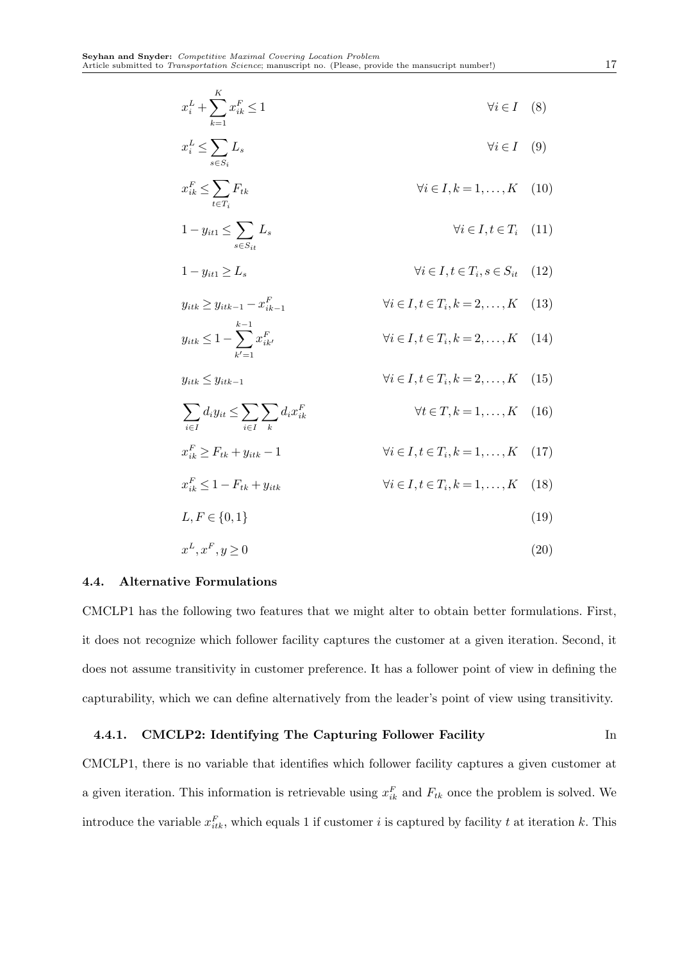$$
x_{i}^{L} + \sum_{k=1}^{K} x_{ik}^{F} \le 1 \qquad \forall i \in I \quad (8)
$$
  
\n
$$
x_{i}^{L} \le \sum_{s \in S_{i}} L_{s} \qquad \forall i \in I, k = 1,..., K \quad (10)
$$
  
\n
$$
1 - y_{it1} \le \sum_{s \in S_{it}} L_{s} \qquad \forall i \in I, k = 1,..., K \quad (10)
$$
  
\n
$$
1 - y_{it1} \ge L_{s} \qquad \forall i \in I, t \in T_{i}, s \in S_{it} \quad (12)
$$
  
\n
$$
y_{itk} \ge y_{itk-1} - x_{ik-1}^{F} \qquad \forall i \in I, t \in T_{i}, s \in S_{it} \quad (12)
$$
  
\n
$$
y_{itk} \le 1 - \sum_{k'=1}^{k-1} x_{ik}^{F} \qquad \forall i \in I, t \in T_{i}, k = 2,..., K \quad (13)
$$
  
\n
$$
y_{itk} \le y_{itk-1} \qquad \forall i \in I, t \in T_{i}, k = 2,..., K \quad (14)
$$
  
\n
$$
y_{itk} \le y_{itk-1} \qquad \forall i \in I, t \in T_{i}, k = 2,..., K \quad (15)
$$
  
\n
$$
\sum_{i \in I} d_{i} y_{it} \le \sum_{i \in I} \sum_{k} d_{i} x_{ik}^{F} \qquad \forall t \in T, k = 1,..., K \quad (16)
$$
  
\n
$$
x_{ik}^{F} \ge F_{tk} + y_{itk} - 1 \qquad \forall i \in I, t \in T_{i}, k = 1,..., K \quad (17)
$$
  
\n
$$
x_{ik}^{F} \le 1 - F_{tk} + y_{itk} \qquad \forall i \in I, t \in T_{i}, k = 1,..., K \quad (18)
$$
  
\n
$$
L, F \in \{0, 1\}
$$

$$
x^L, x^F, y \ge 0 \tag{20}
$$

#### **4.4. Alternative Formulations**

CMCLP1 has the following two features that we might alter to obtain better formulations. First, it does not recognize which follower facility captures the customer at a given iteration. Second, it does not assume transitivity in customer preference. It has a follower point of view in defining the capturability, which we can define alternatively from the leader's point of view using transitivity.

#### **4.4.1. CMCLP2: Identifying The Capturing Follower Facility** In

CMCLP1, there is no variable that identifies which follower facility captures a given customer at a given iteration. This information is retrievable using  $x_{ik}^F$  and  $F_{tk}$  once the problem is solved. We introduce the variable  $x_{itk}^F$ , which equals 1 if customer *i* is captured by facility *t* at iteration *k*. This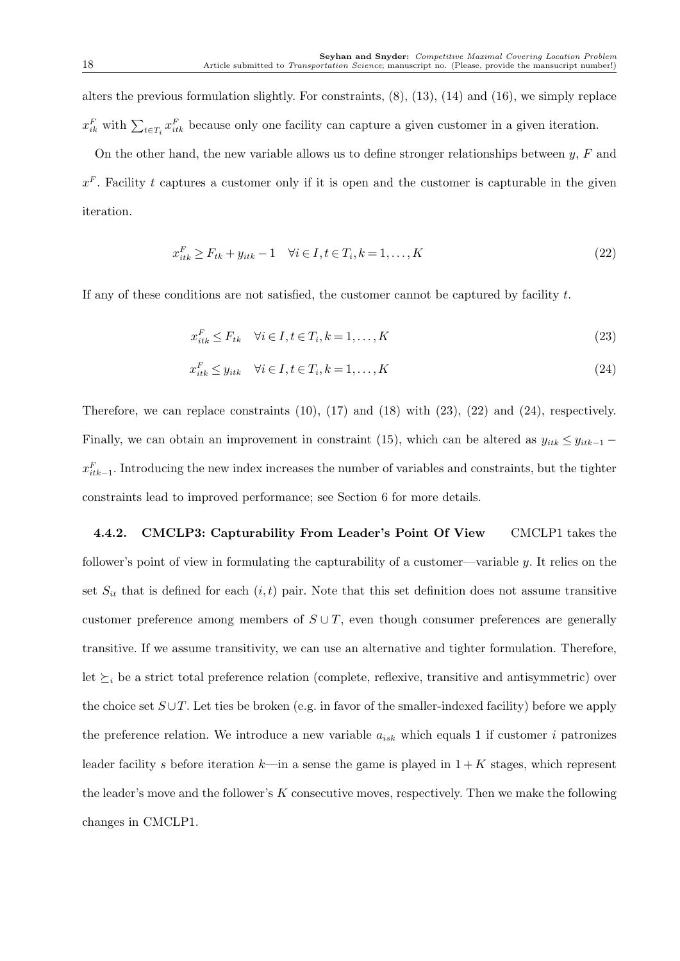alters the previous formulation slightly. For constraints, (8), (13), (14) and (16), we simply replace  $x_{ik}^F$  with  $\sum_{t \in T_i} x_{itk}^F$  because only one facility can capture a given customer in a given iteration.

On the other hand, the new variable allows us to define stronger relationships between *y*, *F* and  $x<sup>F</sup>$ . Facility *t* captures a customer only if it is open and the customer is capturable in the given iteration.

$$
x_{itk}^{F} \ge F_{tk} + y_{itk} - 1 \quad \forall i \in I, t \in T_i, k = 1, ..., K
$$
\n(22)

If any of these conditions are not satisfied, the customer cannot be captured by facility *t*.

$$
x_{itk}^F \le F_{tk} \quad \forall i \in I, t \in T_i, k = 1, \dots, K
$$
\n
$$
(23)
$$

$$
x_{itk}^F \le y_{itk} \quad \forall i \in I, t \in T_i, k = 1, \dots, K \tag{24}
$$

Therefore, we can replace constraints  $(10)$ ,  $(17)$  and  $(18)$  with  $(23)$ ,  $(22)$  and  $(24)$ , respectively. Finally, we can obtain an improvement in constraint (15), which can be altered as  $y_{itk} \leq y_{itk-1}$  $x_{itk-1}^F$ . Introducing the new index increases the number of variables and constraints, but the tighter constraints lead to improved performance; see Section 6 for more details.

**4.4.2. CMCLP3: Capturability From Leader's Point Of View** CMCLP1 takes the follower's point of view in formulating the capturability of a customer—variable *y*. It relies on the set  $S_{it}$  that is defined for each  $(i, t)$  pair. Note that this set definition does not assume transitive customer preference among members of  $S \cup T$ , even though consumer preferences are generally transitive. If we assume transitivity, we can use an alternative and tighter formulation. Therefore, let *≽<sup>i</sup>* be a strict total preference relation (complete, reflexive, transitive and antisymmetric) over the choice set  $S \cup T$ . Let ties be broken (e.g. in favor of the smaller-indexed facility) before we apply the preference relation. We introduce a new variable *aisk* which equals 1 if customer *i* patronizes leader facility s before iteration  $k$ —in a sense the game is played in  $1 + K$  stages, which represent the leader's move and the follower's *K* consecutive moves, respectively. Then we make the following changes in CMCLP1.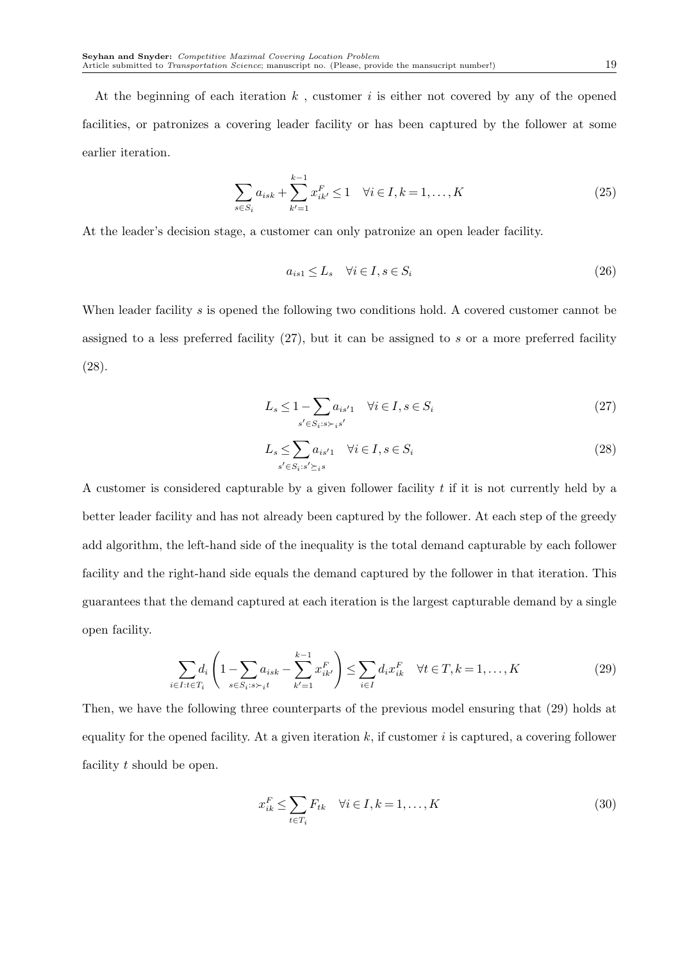$$
\sum_{s \in S_i} a_{isk} + \sum_{k'=1}^{k-1} x_{ik'}^F \le 1 \quad \forall i \in I, k = 1, ..., K
$$
 (25)

At the leader's decision stage, a customer can only patronize an open leader facility.

$$
a_{is1} \le L_s \quad \forall i \in I, s \in S_i \tag{26}
$$

When leader facility *s* is opened the following two conditions hold. A covered customer cannot be assigned to a less preferred facility (27), but it can be assigned to *s* or a more preferred facility (28).

$$
L_s \le 1 - \sum_{s' \in S_i : s \succ_i s'} a_{is'1} \quad \forall i \in I, s \in S_i
$$
\n
$$
(27)
$$

$$
L_s \leq \sum_{s' \in S_i : s' \succeq is} a_{is'1} \quad \forall i \in I, s \in S_i
$$
\n
$$
(28)
$$

A customer is considered capturable by a given follower facility *t* if it is not currently held by a better leader facility and has not already been captured by the follower. At each step of the greedy add algorithm, the left-hand side of the inequality is the total demand capturable by each follower facility and the right-hand side equals the demand captured by the follower in that iteration. This guarantees that the demand captured at each iteration is the largest capturable demand by a single open facility.

$$
\sum_{i \in I: t \in T_i} d_i \left( 1 - \sum_{s \in S_i: s \succ_i t} a_{isk} - \sum_{k'=1}^{k-1} x_{ik'}^F \right) \le \sum_{i \in I} d_i x_{ik}^F \quad \forall t \in T, k = 1, \dots, K
$$
\n(29)

Then, we have the following three counterparts of the previous model ensuring that (29) holds at equality for the opened facility. At a given iteration *k*, if customer *i* is captured, a covering follower facility *t* should be open.

$$
x_{ik}^F \le \sum_{t \in T_i} F_{tk} \quad \forall i \in I, k = 1, \dots, K
$$
\n
$$
(30)
$$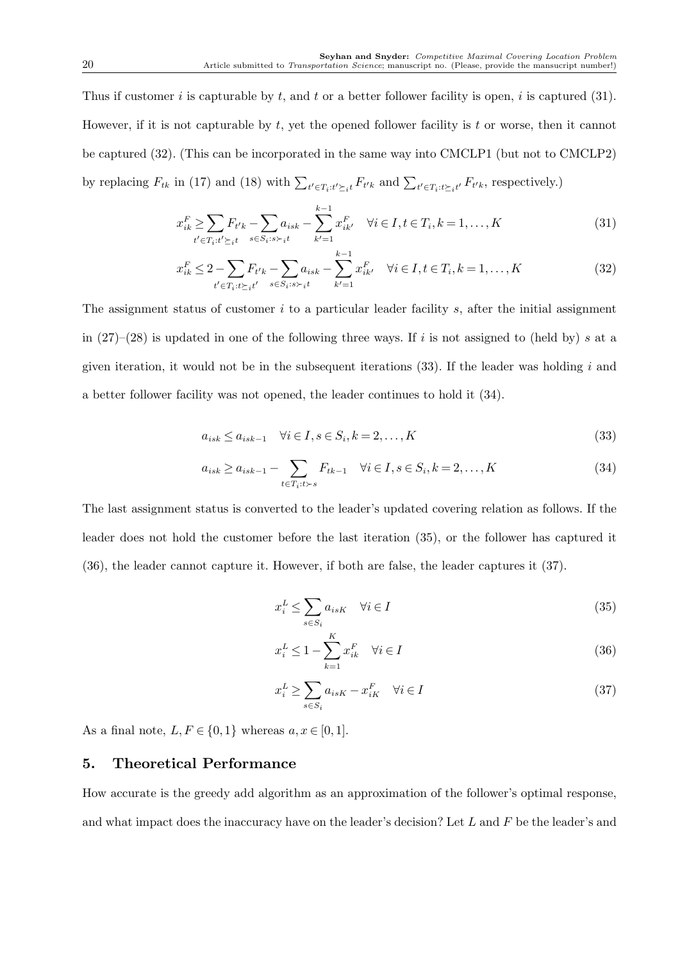Thus if customer *i* is capturable by *t*, and *t* or a better follower facility is open, *i* is captured (31). However, if it is not capturable by *t*, yet the opened follower facility is *t* or worse, then it cannot be captured (32). (This can be incorporated in the same way into CMCLP1 (but not to CMCLP2) by replacing  $F_{tk}$  in (17) and (18) with  $\sum_{t' \in T_i: t' \succeq_i t} F_{t'k}$  and  $\sum_{t' \in T_i: t \succeq_i t'} F_{t'k}$ , respectively.)

$$
x_{ik}^F \ge \sum_{t' \in T_i : t' \ge i} F_{t'k} - \sum_{s \in S_i : s \succ i} a_{isk} - \sum_{k'=1}^{k-1} x_{ik'}^F \quad \forall i \in I, t \in T_i, k = 1, ..., K
$$
 (31)

$$
x_{ik}^F \le 2 - \sum_{t' \in T_i : t \succeq_i t'} F_{t'k} - \sum_{s \in S_i : s \succ_i t} a_{isk} - \sum_{k'=1}^{k-1} x_{ik'}^F \quad \forall i \in I, t \in T_i, k = 1, ..., K
$$
 (32)

The assignment status of customer *i* to a particular leader facility *s*, after the initial assignment in (27)–(28) is updated in one of the following three ways. If *i* is not assigned to (held by) *s* at a given iteration, it would not be in the subsequent iterations (33). If the leader was holding *i* and a better follower facility was not opened, the leader continues to hold it (34).

$$
a_{isk} \le a_{isk-1} \quad \forall i \in I, s \in S_i, k = 2, \dots, K
$$
\n
$$
(33)
$$

$$
a_{isk} \ge a_{isk-1} - \sum_{t \in T_i : t \succ s} F_{tk-1} \quad \forall i \in I, s \in S_i, k = 2, \dots, K
$$
\n
$$
(34)
$$

The last assignment status is converted to the leader's updated covering relation as follows. If the leader does not hold the customer before the last iteration (35), or the follower has captured it (36), the leader cannot capture it. However, if both are false, the leader captures it (37).

$$
x_i^L \le \sum_{s \in S_i} a_{isK} \quad \forall i \in I \tag{35}
$$

$$
x_i^L \le 1 - \sum_{k=1}^K x_{ik}^F \quad \forall i \in I
$$
\n
$$
(36)
$$

$$
x_i^L \ge \sum_{s \in S_i} a_{isK} - x_{iK}^F \quad \forall i \in I
$$
\n
$$
(37)
$$

As a final note,  $L, F \in \{0, 1\}$  whereas  $a, x \in [0, 1]$ .

## **5. Theoretical Performance**

How accurate is the greedy add algorithm as an approximation of the follower's optimal response, and what impact does the inaccuracy have on the leader's decision? Let *L* and *F* be the leader's and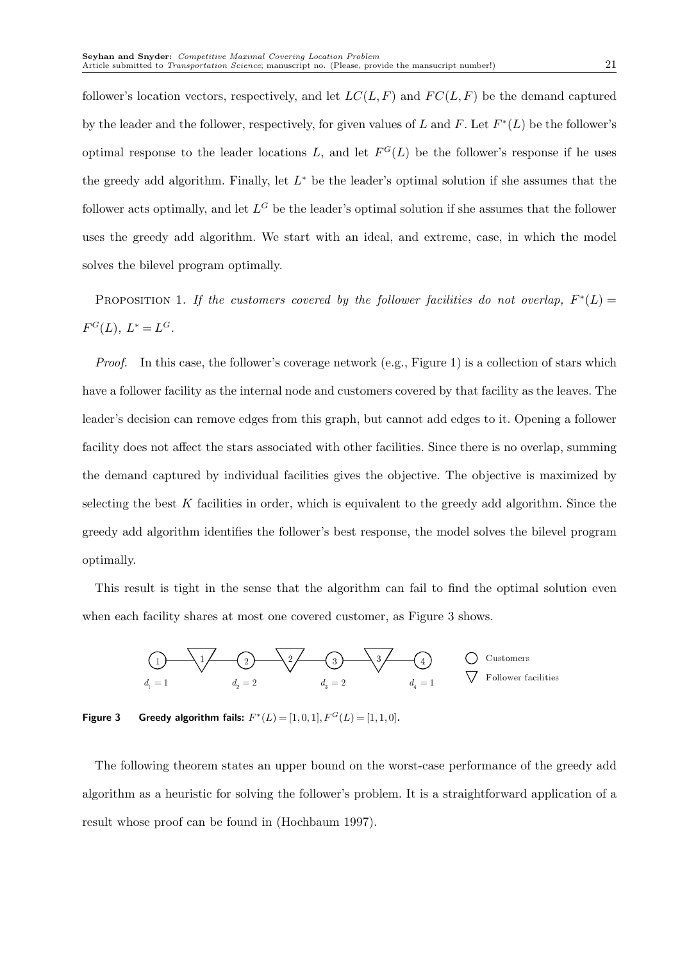follower's location vectors, respectively, and let  $LC(L, F)$  and  $FC(L, F)$  be the demand captured by the leader and the follower, respectively, for given values of *L* and *F*. Let *F ∗* (*L*) be the follower's optimal response to the leader locations  $L$ , and let  $F^G(L)$  be the follower's response if he uses the greedy add algorithm. Finally, let *L <sup>∗</sup>* be the leader's optimal solution if she assumes that the follower acts optimally, and let  $L^G$  be the leader's optimal solution if she assumes that the follower uses the greedy add algorithm. We start with an ideal, and extreme, case, in which the model solves the bilevel program optimally.

PROPOSITION 1. If the customers covered by the follower facilities do not overlap,  $F^*(L)$  $F^G(L)$ *,*  $L^* = L^G$ *.* 

*Proof.* In this case, the follower's coverage network (e.g., Figure 1) is a collection of stars which have a follower facility as the internal node and customers covered by that facility as the leaves. The leader's decision can remove edges from this graph, but cannot add edges to it. Opening a follower facility does not affect the stars associated with other facilities. Since there is no overlap, summing the demand captured by individual facilities gives the objective. The objective is maximized by selecting the best *K* facilities in order, which is equivalent to the greedy add algorithm. Since the greedy add algorithm identifies the follower's best response, the model solves the bilevel program optimally.

This result is tight in the sense that the algorithm can fail to find the optimal solution even when each facility shares at most one covered customer, as Figure 3 shows.



**Figure 3** Greedy algorithm fails:  $F^*(L) = [1, 0, 1], F^G(L) = [1, 1, 0].$ 

The following theorem states an upper bound on the worst-case performance of the greedy add algorithm as a heuristic for solving the follower's problem. It is a straightforward application of a result whose proof can be found in (Hochbaum 1997).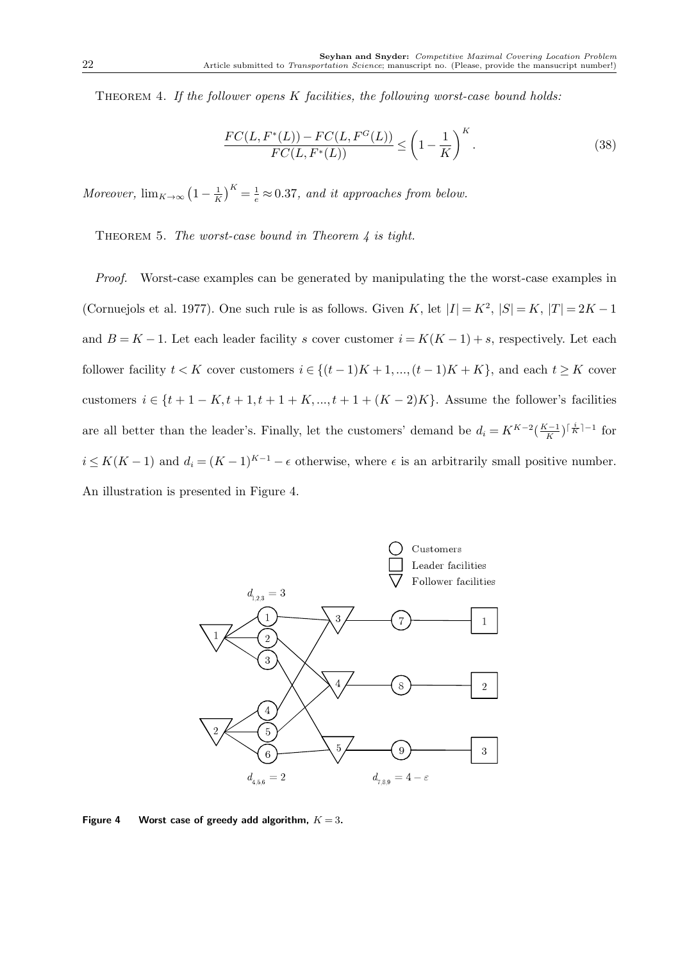Theorem 4. *If the follower opens K facilities, the following worst-case bound holds:*

$$
\frac{FC(L, F^*(L)) - FC(L, F^G(L))}{FC(L, F^*(L))} \le \left(1 - \frac{1}{K}\right)^K.
$$
\n(38)

*Moreover,*  $\lim_{K \to \infty} \left(1 - \frac{1}{K}\right)$  $\left(\frac{1}{K}\right)^K = \frac{1}{e} \approx 0.37$ , and it approaches from below.

Theorem 5. *The worst-case bound in Theorem 4 is tight.*

*Proof.* Worst-case examples can be generated by manipulating the the worst-case examples in (Cornuejols et al. 1977). One such rule is as follows. Given *K*, let  $|I| = K^2$ ,  $|S| = K$ ,  $|T| = 2K - 1$ and  $B = K - 1$ . Let each leader facility *s* cover customer  $i = K(K - 1) + s$ , respectively. Let each follower facility  $t < K$  cover customers  $i \in \{(t-1)K + 1, ..., (t-1)K + K\}$ , and each  $t \geq K$  cover customers  $i \in \{t + 1 - K, t + 1, t + 1 + K, ..., t + 1 + (K − 2)K\}$ . Assume the follower's facilities are all better than the leader's. Finally, let the customers' demand be  $d_i = K^{K-2}(\frac{K-1}{K})^{\lceil \frac{i}{K} \rceil-1}$  for  $i \leq K(K-1)$  and  $d_i = (K-1)^{K-1} - \epsilon$  otherwise, where  $\epsilon$  is an arbitrarily small positive number. An illustration is presented in Figure 4.



**Figure 4** Worst case of greedy add algorithm,  $K = 3$ .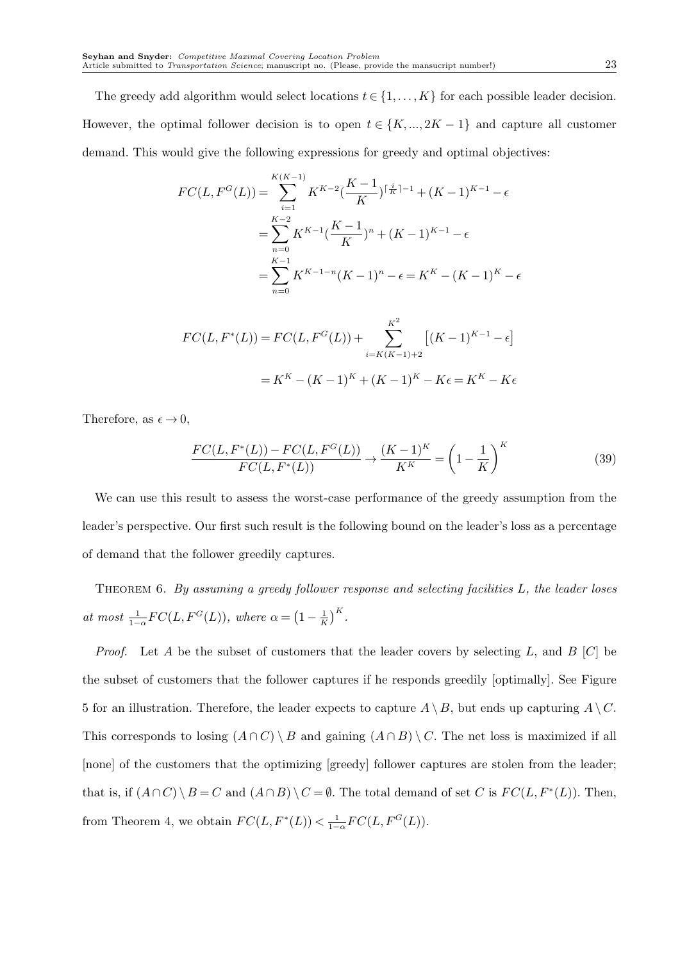The greedy add algorithm would select locations  $t \in \{1, ..., K\}$  for each possible leader decision. However, the optimal follower decision is to open  $t \in \{K, ..., 2K - 1\}$  and capture all customer demand. This would give the following expressions for greedy and optimal objectives:

$$
FC(L, F^G(L)) = \sum_{i=1}^{K(K-1)} K^{K-2} (\frac{K-1}{K})^{\lceil \frac{i}{K} \rceil - 1} + (K-1)^{K-1} - \epsilon
$$
  
= 
$$
\sum_{n=0}^{K-2} K^{K-1} (\frac{K-1}{K})^n + (K-1)^{K-1} - \epsilon
$$
  
= 
$$
\sum_{n=0}^{K-1} K^{K-1-n} (K-1)^n - \epsilon = K^K - (K-1)^K - \epsilon
$$

$$
FC(L, F^*(L)) = FC(L, F^G(L)) + \sum_{i=K(K-1)+2}^{K^2} [(K-1)^{K-1} - \epsilon]
$$

$$
= K^K - (K-1)^K + (K-1)^K - K\epsilon = K^K - K\epsilon
$$

Therefore, as  $\epsilon \to 0$ ,

$$
\frac{FC(L, F^*(L)) - FC(L, F^G(L))}{FC(L, F^*(L))} \to \frac{(K-1)^K}{K^K} = \left(1 - \frac{1}{K}\right)^K
$$
(39)

We can use this result to assess the worst-case performance of the greedy assumption from the leader's perspective. Our first such result is the following bound on the leader's loss as a percentage of demand that the follower greedily captures.

Theorem 6. *By assuming a greedy follower response and selecting facilities L, the leader loses at most*  $\frac{1}{1-\alpha}FC(L, F^G(L))$ *, where*  $\alpha = \left(1 - \frac{1}{K}\right)$  $\frac{1}{K}$ <sup>*K*</sup>.

*Proof.* Let *A* be the subset of customers that the leader covers by selecting *L*, and *B* [*C*] be the subset of customers that the follower captures if he responds greedily [optimally]. See Figure 5 for an illustration. Therefore, the leader expects to capture  $A \setminus B$ , but ends up capturing  $A \setminus C$ . This corresponds to losing  $(A \cap C) \setminus B$  and gaining  $(A \cap B) \setminus C$ . The net loss is maximized if all [none] of the customers that the optimizing [greedy] follower captures are stolen from the leader; that is, if  $(A \cap C) \setminus B = C$  and  $(A \cap B) \setminus C = \emptyset$ . The total demand of set *C* is  $FC(L, F^*(L))$ . Then, from Theorem 4, we obtain  $FC(L, F^*(L)) < \frac{1}{1-\epsilon}$  $\frac{1}{1-\alpha}FC(L, F^G(L)).$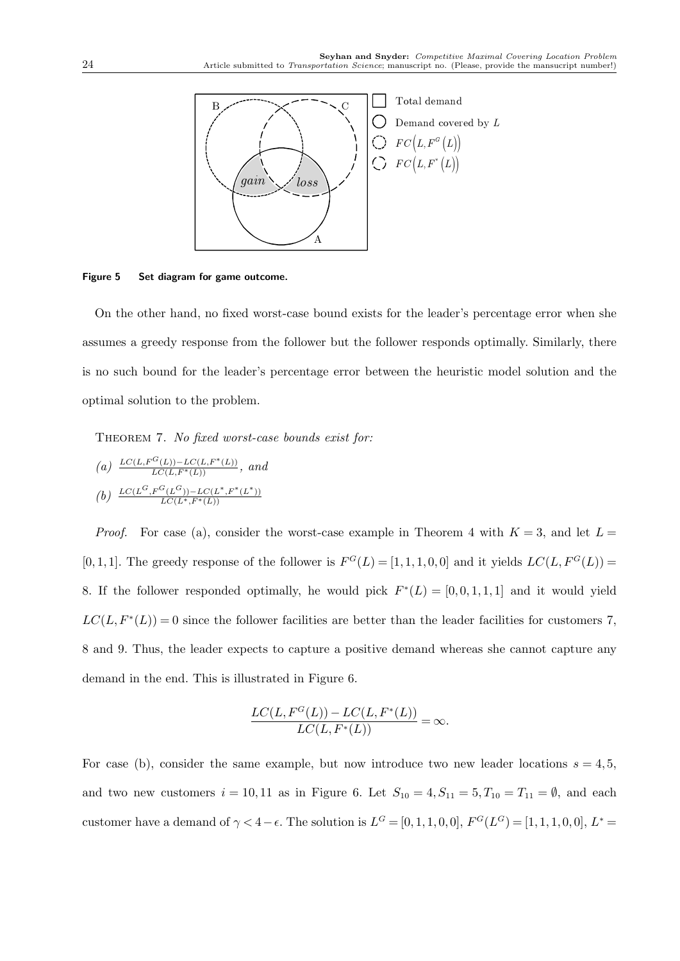

**Figure 5 Set diagram for game outcome.**

On the other hand, no fixed worst-case bound exists for the leader's percentage error when she assumes a greedy response from the follower but the follower responds optimally. Similarly, there is no such bound for the leader's percentage error between the heuristic model solution and the optimal solution to the problem.

Theorem 7. *No fixed worst-case bounds exist for:*

(a) 
$$
\frac{LC(L, F^G(L)) - LC(L, F^*(L))}{LC(L, F^*(L))}
$$
, and  
(b)  $\frac{LC(L^G, F^G(L^G)) - LC(L^*, F^*(L^*))}{LC(L^*, F^*(L))}$ 

*Proof.* For case (a), consider the worst-case example in Theorem 4 with  $K = 3$ , and let  $L =$  $[0,1,1]$ . The greedy response of the follower is  $F^G(L) = [1,1,1,0,0]$  and it yields  $LC(L, F^G(L))$ 8. If the follower responded optimally, he would pick  $F^*(L) = [0,0,1,1,1]$  and it would yield  $LC(L, F^*(L)) = 0$  since the follower facilities are better than the leader facilities for customers 7, 8 and 9. Thus, the leader expects to capture a positive demand whereas she cannot capture any demand in the end. This is illustrated in Figure 6.

$$
\frac{LC(L, F^G(L)) - LC(L, F^*(L))}{LC(L, F^*(L))} = \infty.
$$

For case (b), consider the same example, but now introduce two new leader locations  $s = 4, 5$ , and two new customers  $i = 10, 11$  as in Figure 6. Let  $S_{10} = 4, S_{11} = 5, T_{10} = T_{11} = \emptyset$ , and each customer have a demand of  $\gamma < 4 - \epsilon$ . The solution is  $L^G = [0, 1, 1, 0, 0], F^G(L^G) = [1, 1, 1, 0, 0], L^* =$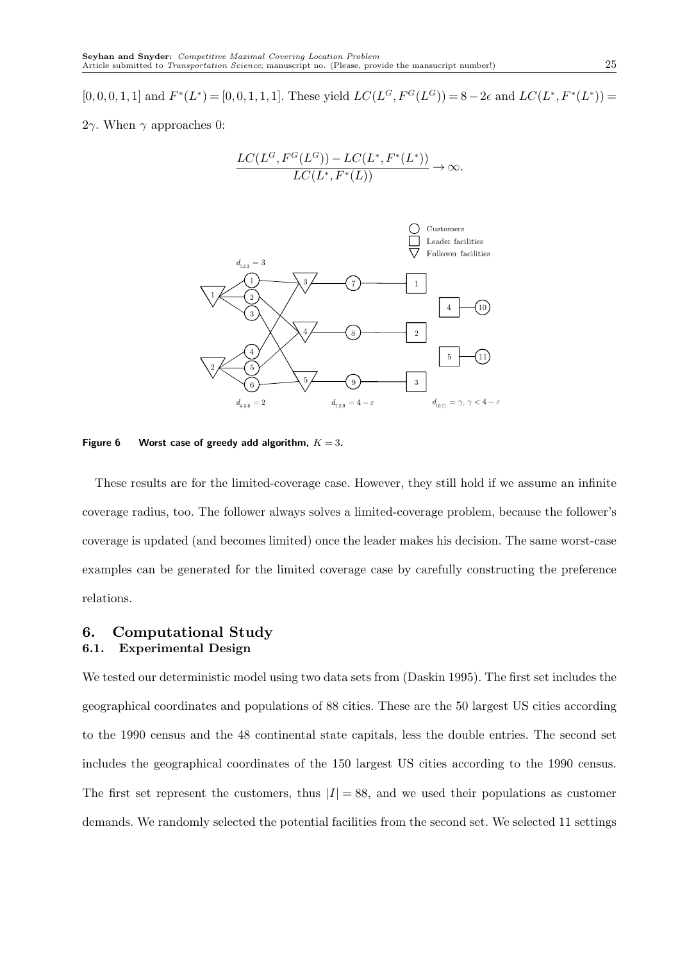$[0,0,0,1,1]$  and  $F^*(L^*)=[0,0,1,1,1]$ . These yield  $LC(L^G, F^G(L^G))=8-2\epsilon$  and  $LC(L^*, F^*(L^*))=$ 

2γ. When  $γ$  approaches 0:

$$
\frac{LC(L^G, F^G(L^G)) - LC(L^*, F^*(L^*))}{LC(L^*, F^*(L))} \to \infty.
$$



**Figure 6 Worst case of greedy add algorithm,** *K* = 3**.**

These results are for the limited-coverage case. However, they still hold if we assume an infinite coverage radius, too. The follower always solves a limited-coverage problem, because the follower's coverage is updated (and becomes limited) once the leader makes his decision. The same worst-case examples can be generated for the limited coverage case by carefully constructing the preference relations.

## **6. Computational Study 6.1. Experimental Design**

We tested our deterministic model using two data sets from (Daskin 1995). The first set includes the geographical coordinates and populations of 88 cities. These are the 50 largest US cities according to the 1990 census and the 48 continental state capitals, less the double entries. The second set includes the geographical coordinates of the 150 largest US cities according to the 1990 census. The first set represent the customers, thus  $|I|=88$ , and we used their populations as customer demands. We randomly selected the potential facilities from the second set. We selected 11 settings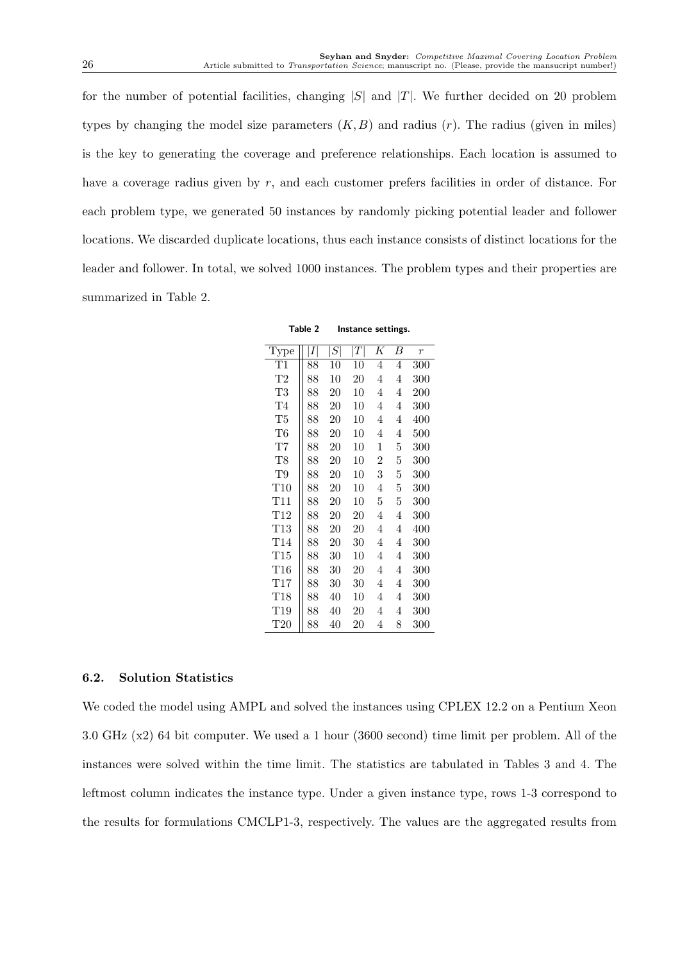for the number of potential facilities, changing *|S|* and *|T|*. We further decided on 20 problem types by changing the model size parameters  $(K, B)$  and radius  $(r)$ . The radius (given in miles) is the key to generating the coverage and preference relationships. Each location is assumed to have a coverage radius given by r, and each customer prefers facilities in order of distance. For each problem type, we generated 50 instances by randomly picking potential leader and follower locations. We discarded duplicate locations, thus each instance consists of distinct locations for the leader and follower. In total, we solved 1000 instances. The problem types and their properties are summarized in Table 2.

| Type              | I  | S  | $\left T\right $ | K              | B | $\boldsymbol{r}$ |
|-------------------|----|----|------------------|----------------|---|------------------|
| Τ1                | 88 | 10 | 10               | 4              | 4 | 300              |
| $\mathrm{T}2$     | 88 | 10 | 20               | 4              | 4 | 300              |
| $\rm{T}3$         | 88 | 20 | 10               | 4              | 4 | 200              |
| T4                | 88 | 20 | 10               | 4              | 4 | 300              |
| T <sub>5</sub>    | 88 | 20 | 10               | 4              | 4 | 400              |
| $\rm{T6}$         | 88 | 20 | 10               | 4              | 4 | 500              |
| T7                | 88 | 20 | 10               | 1              | 5 | 300              |
| T <sub>8</sub>    | 88 | 20 | 10               | $\overline{2}$ | 5 | 300              |
| T9                | 88 | 20 | 10               | 3              | 5 | 300              |
| T10               | 88 | 20 | 10               | 4              | 5 | 300              |
| T11               | 88 | 20 | 10               | 5              | 5 | 300              |
| T12               | 88 | 20 | 20               | 4              | 4 | 300              |
| $\rm{T}13$        | 88 | 20 | 20               | 4              | 4 | 400              |
| T14               | 88 | 20 | 30               | 4              | 4 | 300              |
| T15               | 88 | 30 | 10               | 4              | 4 | 300              |
| $_{\mathrm{T}16}$ | 88 | 30 | 20               | 4              | 4 | 300              |
| T17               | 88 | 30 | 30               | 4              | 4 | 300              |
| T <sub>18</sub>   | 88 | 40 | 10               | 4              | 4 | 300              |
| T <sub>19</sub>   | 88 | 40 | 20               | 4              | 4 | 300              |
| T <sub>20</sub>   | 88 | 40 | 20               | 4              | 8 | 300              |

**Table 2 Instance settings.**

#### **6.2. Solution Statistics**

We coded the model using AMPL and solved the instances using CPLEX 12.2 on a Pentium Xeon 3.0 GHz (x2) 64 bit computer. We used a 1 hour (3600 second) time limit per problem. All of the instances were solved within the time limit. The statistics are tabulated in Tables 3 and 4. The leftmost column indicates the instance type. Under a given instance type, rows 1-3 correspond to the results for formulations CMCLP1-3, respectively. The values are the aggregated results from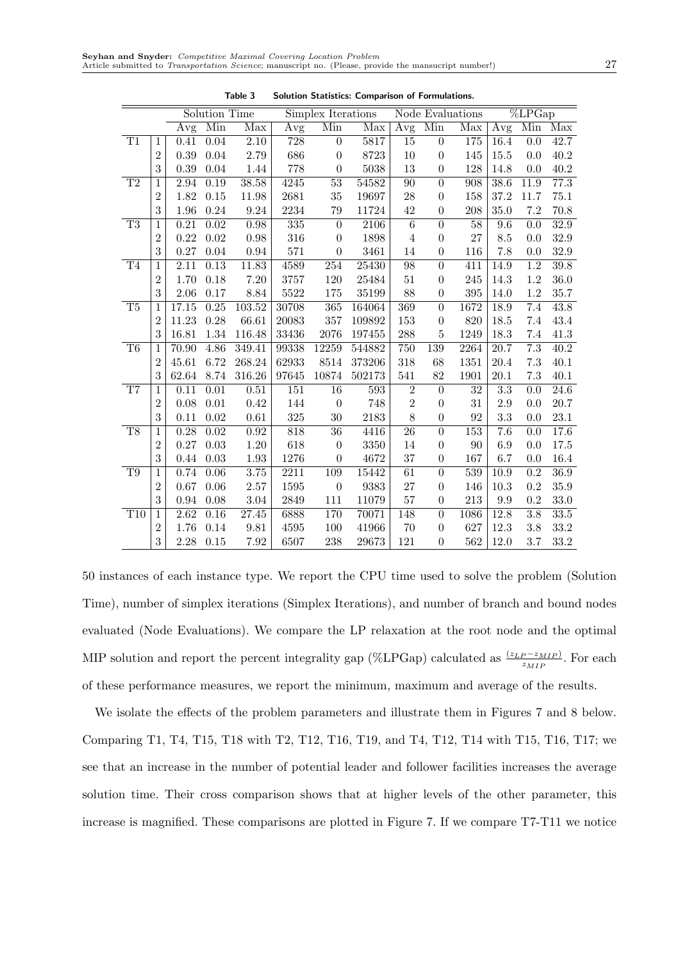| Solution Time          |                |       | Simplex Iterations |                   |                   |                  | Node Evaluations |                  | $\overline{\%\text{LPGap}}$ |                  |                  |                  |                   |
|------------------------|----------------|-------|--------------------|-------------------|-------------------|------------------|------------------|------------------|-----------------------------|------------------|------------------|------------------|-------------------|
|                        |                | Avg   | Min                | Max               | $\overline{A}vg$  | Min              | Max              | $\overline{A}vg$ | $\overline{\text{Min}}$     | Max              | $\overline{A}vg$ | Min              | Max               |
| T1                     | $\mathbf{1}$   | 0.41  | 0.04               | $\overline{2.10}$ | 728               | $\boldsymbol{0}$ | 5817             | $\overline{15}$  | $\boldsymbol{0}$            | 175              | 16.4             | 0.0              | 42.7              |
|                        | $\overline{2}$ | 0.39  | 0.04               | 2.79              | 686               | $\boldsymbol{0}$ | 8723             | 10               | $\overline{0}$              | 145              | 15.5             | 0.0              | 40.2              |
|                        | 3              | 0.39  | 0.04               | 1.44              | 778               | $\boldsymbol{0}$ | 5038             | 13               | $\boldsymbol{0}$            | 128              | 14.8             | 0.0              | 40.2              |
| $\overline{T2}$        | $\mathbf{1}$   | 2.94  | 0.19               | 38.58             | 4245              | $\overline{53}$  | 54582            | 90               | $\overline{0}$              | 908              | 38.6             | 11.9             | 77.3              |
|                        | $\overline{2}$ | 1.82  | 0.15               | 11.98             | 2681              | $35\,$           | 19697            | 28               | $\boldsymbol{0}$            | 158              | 37.2             | 11.7             | 75.1              |
|                        | 3              | 1.96  | 0.24               | $\ \, 9.24$       | 2234              | 79               | 11724            | 42               | $\boldsymbol{0}$            | 208              | 35.0             | 7.2              | 70.8              |
| $\overline{\text{T3}}$ | $\mathbf{1}$   | 0.21  | $\overline{0.02}$  | 0.98              | $\overline{335}$  | $\boldsymbol{0}$ | 2106             | $\overline{6}$   | $\overline{0}$              | $\overline{58}$  | $\overline{9.6}$ | $\overline{0.0}$ | 32.9              |
|                        | $\overline{2}$ | 0.22  | 0.02               | $\rm 0.98$        | 316               | $\boldsymbol{0}$ | 1898             | $\overline{4}$   | $\boldsymbol{0}$            | 27               | 8.5              | 0.0              | 32.9              |
|                        | 3              | 0.27  | 0.04               | $\rm 0.94$        | 571               | $\boldsymbol{0}$ | 3461             | 14               | $\boldsymbol{0}$            | 116              | 7.8              | 0.0              | 32.9              |
| $\overline{T4}$        | $\overline{1}$ | 2.11  | 0.13               | 11.83             | 4589              | $\overline{254}$ | 25430            | $\overline{98}$  | $\boldsymbol{0}$            | 411              | 14.9             | 1.2              | 39.8              |
|                        | $\overline{2}$ | 1.70  | 0.18               | $7.20\,$          | 3757              | 120              | 25484            | $51\,$           | $\boldsymbol{0}$            | 245              | 14.3             | 1.2              | 36.0              |
|                        | 3              | 2.06  | 0.17               | 8.84              | 5522              | 175              | 35199            | 88               | $\boldsymbol{0}$            | 395              | 14.0             | 1.2              | 35.7              |
| T <sub>5</sub>         | $\mathbf{1}$   | 17.15 | 0.25               | 103.52            | 30708             | 365              | 164064           | 369              | $\overline{0}$              | 1672             | 18.9             | 7.4              | 43.8              |
|                        | $\overline{2}$ | 11.23 | 0.28               | 66.61             | 20083             | 357              | 109892           | 153              | $\boldsymbol{0}$            | 820              | 18.5             | 7.4              | 43.4              |
|                        | 3              | 16.81 | 1.34               | 116.48            | 33436             | 2076             | 197455           | 288              | $\bf 5$                     | 1249             | 18.3             | 7.4              | 41.3              |
| T <sub>6</sub>         | 1              | 70.90 | 4.86               | 349.41            | 99338             | 12259            | 544882           | 750              | 139                         | 2264             | 20.7             | 7.3              | $\overline{40.2}$ |
|                        | $\overline{2}$ | 45.61 | 6.72               | 268.24            | 62933             | 8514             | 373206           | 318              | 68                          | 1351             | 20.4             | 7.3              | 40.1              |
|                        | 3              | 62.64 | 8.74               | 316.26            | 97645             | 10874            | 502173           | 541              | 82                          | 1901             | 20.1             | 7.3              | 40.1              |
| T7                     | $\mathbf{1}$   | 0.11  | 0.01               | 0.51              | 151               | $\overline{16}$  | 593              | $\overline{2}$   | $\overline{0}$              | 32               | $\overline{3.3}$ | 0.0              | 24.6              |
|                        | $\overline{2}$ | 0.08  | 0.01               | 0.42              | 144               | $\boldsymbol{0}$ | 748              | $\overline{2}$   | $\boldsymbol{0}$            | 31               | 2.9              | 0.0              | 20.7              |
|                        | 3              | 0.11  | 0.02               | $0.61\,$          | 325               | $30\,$           | 2183             | 8                | $\boldsymbol{0}$            | 92               | 3.3              | 0.0              | $23.1\,$          |
| $\overline{\text{T8}}$ | $\mathbf{1}$   | 0.28  | 0.02               | 0.92              | $\overline{818}$  | $\overline{36}$  | 4416             | $\overline{26}$  | $\overline{0}$              | $\overline{153}$ | $\overline{7.6}$ | 0.0              | 17.6              |
|                        | $\overline{2}$ | 0.27  | 0.03               | $1.20\,$          | 618               | $\boldsymbol{0}$ | 3350             | 14               | $\boldsymbol{0}$            | 90               | 6.9              | 0.0              | 17.5              |
|                        | 3              | 0.44  | 0.03               | $1.93\,$          | 1276              | $\boldsymbol{0}$ | 4672             | 37               | $\boldsymbol{0}$            | 167              | 6.7              | 0.0              | 16.4              |
| T <sub>9</sub>         | $\overline{1}$ | 0.74  | 0.06               | 3.75              | $\overline{2211}$ | 109              | 15442            | 61               | $\overline{0}$              | 539              | 10.9             | $\overline{0.2}$ | 36.9              |
|                        | $\overline{2}$ | 0.67  | 0.06               | 2.57              | 1595              | $\boldsymbol{0}$ | 9383             | 27               | $\boldsymbol{0}$            | 146              | 10.3             | 0.2              | 35.9              |
|                        | 3              | 0.94  | 0.08               | $3.04\,$          | 2849              | 111              | 11079            | 57               | $\boldsymbol{0}$            | 213              | 9.9              | 0.2              | 33.0              |
| T <sub>10</sub>        | $\overline{1}$ | 2.62  | 0.16               | 27.45             | 6888              | 170              | 70071            | 148              | $\boldsymbol{0}$            | 1086             | 12.8             | 3.8              | 33.5              |
|                        | $\overline{2}$ | 1.76  | 0.14               | 9.81              | 4595              | 100              | 41966            | 70               | $\overline{0}$              | 627              | 12.3             | 3.8              | 33.2              |
|                        | 3              | 2.28  | 0.15               | 7.92              | 6507              | 238              | 29673            | 121              | $\boldsymbol{0}$            | 562              | 12.0             | 3.7              | 33.2              |

**Table 3 Solution Statistics: Comparison of Formulations.**

50 instances of each instance type. We report the CPU time used to solve the problem (Solution Time), number of simplex iterations (Simplex Iterations), and number of branch and bound nodes evaluated (Node Evaluations). We compare the LP relaxation at the root node and the optimal MIP solution and report the percent integrality gap (%LPGap) calculated as  $\frac{(z_{LP} - z_{MIP})}{z_{MIP}}$ . For each of these performance measures, we report the minimum, maximum and average of the results.

We isolate the effects of the problem parameters and illustrate them in Figures 7 and 8 below. Comparing T1, T4, T15, T18 with T2, T12, T16, T19, and T4, T12, T14 with T15, T16, T17; we see that an increase in the number of potential leader and follower facilities increases the average solution time. Their cross comparison shows that at higher levels of the other parameter, this increase is magnified. These comparisons are plotted in Figure 7. If we compare T7-T11 we notice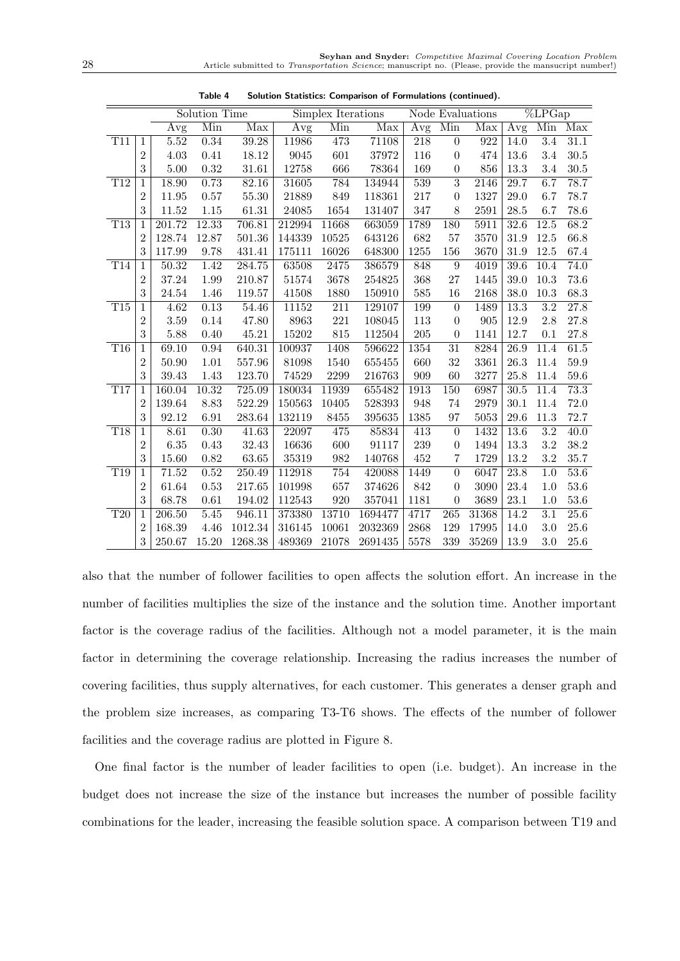| Solution Time    |                |          | Simplex Iterations |                         |           | Node Evaluations |         |                  | $\sqrt{\%LPG}$ ap |           |                   |                   |                   |
|------------------|----------------|----------|--------------------|-------------------------|-----------|------------------|---------|------------------|-------------------|-----------|-------------------|-------------------|-------------------|
|                  |                | Avg      | Min                | $\overline{\text{Max}}$ | Avg       | Min              | Max     | Avg              | Min               | Max       | Avg               | Min               | Max               |
| <b>T11</b>       | 1              | 5.52     | 0.34               | 39.28                   | 11986     | 473              | 71108   | $\overline{218}$ | $\overline{0}$    | 922       | $\overline{14.0}$ | $\overline{3.4}$  | 31.1              |
|                  | $\overline{2}$ | 4.03     | 0.41               | 18.12                   | $9045\,$  | 601              | 37972   | 116              | $\boldsymbol{0}$  | 474       | 13.6              | 3.4               | $30.5\,$          |
|                  | $\sqrt{3}$     | 5.00     | 0.32               | 31.61                   | 12758     | 666              | 78364   | 169              | $\boldsymbol{0}$  | 856       | 13.3              | 3.4               | $30.5\,$          |
| T12              | $\mathbf 1$    | 18.90    | 0.73               | 82.16                   | 31605     | 784              | 134944  | 539              | $\overline{3}$    | 2146      | 29.7              | 6.7               | 78.7              |
|                  | $\overline{2}$ | 11.95    | $0.57\,$           | $55.30\,$               | 21889     | 849              | 118361  | $217\,$          | $\boldsymbol{0}$  | 1327      | $29.0\,$          | 6.7               | 78.7              |
|                  | 3              | 11.52    | $1.15\,$           | 61.31                   | 24085     | 1654             | 131407  | 347              | 8                 | 2591      | $28.5\,$          | 6.7               | 78.6              |
| T <sub>13</sub>  | 1              | 201.72   | 12.33              | 706.81                  | 212994    | 11668            | 663059  | 1789             | 180               | 5911      | 32.6              | 12.5              | 68.2              |
|                  | $\overline{2}$ | 128.74   | 12.87              | 501.36                  | 144339    | 10525            | 643126  | 682              | $57\,$            | 3570      | 31.9              | 12.5              | 66.8              |
|                  | 3              | 117.99   | 9.78               | 431.41                  | 175111    | 16026            | 648300  | 1255             | 156               | 3670      | $31.9\,$          | 12.5              | 67.4              |
| T14              | $\mathbf{1}$   | 50.32    | 1.42               | 284.75                  | 63508     | 2475             | 386579  | 848              | $\overline{9}$    | 4019      | 39.6              | $\overline{10.4}$ | 74.0              |
|                  | $\mathbf{2}$   | 37.24    | 1.99               | 210.87                  | 51574     | 3678             | 254825  | 368              | 27                | 1445      | 39.0              | $10.3\,$          | $73.6\,$          |
|                  | 3              | 24.54    | 1.46               | 119.57                  | 41508     | 1880             | 150910  | 585              | 16                | 2168      | 38.0              | 10.3              | 68.3              |
| T15              | $\mathbf{1}$   | 4.62     | 0.13               | 54.46                   | 11152     | $\overline{211}$ | 129107  | 199              | $\overline{0}$    | 1489      | 13.3              | $\overline{3.2}$  | $\overline{27.8}$ |
|                  | $\overline{2}$ | $3.59\,$ | 0.14               | 47.80                   | 8963      | $221\,$          | 108045  | 113              | $\boldsymbol{0}$  | 905       | 12.9              | 2.8               | $27.8\,$          |
|                  | 3              | 5.88     | 0.40               | 45.21                   | 15202     | 815              | 112504  | $205\,$          | $\boldsymbol{0}$  | 1141      | 12.7              | 0.1               | 27.8              |
| T <sub>16</sub>  | $\mathbf 1$    | 69.10    | 0.94               | 640.31                  | 100937    | 1408             | 596622  | 1354             | $\overline{31}$   | 8284      | 26.9              | 11.4              | 61.5              |
|                  | $\mathbf{2}$   | 50.90    | 1.01               | 557.96                  | 81098     | 1540             | 655455  | 660              | 32                | 3361      | 26.3              | 11.4              | 59.9              |
|                  | 3              | 39.43    | 1.43               | 123.70                  | 74529     | 2299             | 216763  | 909              | 60                | 3277      | 25.8              | 11.4              | 59.6              |
| T17              | 1              | 160.04   | 10.32              | 725.09                  | 180034    | 11939            | 655482  | 1913             | $\overline{150}$  | 6987      | 30.5              | 11.4              | 73.3              |
|                  | $\overline{2}$ | 139.64   | 8.83               | 522.29                  | 150563    | 10405            | 528393  | 948              | 74                | 2979      | 30.1              | 11.4              | 72.0              |
|                  | 3              | 92.12    | 6.91               | 283.64                  | 132119    | 8455             | 395635  | 1385             | $\rm 97$          | 5053      | 29.6              | 11.3              | 72.7              |
| $\overline{T18}$ | $\mathbf{1}$   | 8.61     | 0.30               | 41.63                   | 22097     | $\overline{475}$ | 85834   | $\overline{413}$ | $\overline{0}$    | 1432      | $\overline{13.6}$ | $\overline{3.2}$  | $\overline{40.0}$ |
|                  | $\overline{2}$ | $6.35\,$ | 0.43               | 32.43                   | 16636     | 600              | 91117   | $239\,$          | $\boldsymbol{0}$  | 1494      | $13.3\,$          | $3.2\,$           | $38.2\,$          |
|                  | $\sqrt{3}$     | 15.60    | 0.82               | 63.65                   | $35319\,$ | 982              | 140768  | 452              | $\!\!7$           | 1729      | 13.2              | $3.2\,$           | 35.7              |
| T19              | $\mathbf{1}$   | 71.52    | 0.52               | 250.49                  | 112918    | 754              | 420088  | 1449             | $\overline{0}$    | 6047      | 23.8              | $1.0\,$           | 53.6              |
|                  | $\overline{2}$ | 61.64    | 0.53               | $217.65\,$              | 101998    | 657              | 374626  | 842              | $\boldsymbol{0}$  | 3090      | 23.4              | 1.0               | $53.6\,$          |
|                  | 3              | 68.78    | 0.61               | 194.02                  | 112543    | 920              | 357041  | 1181             | $\boldsymbol{0}$  | 3689      | 23.1              | $1.0\,$           | 53.6              |
| T20              | 1              | 206.50   | 5.45               | 946.11                  | 373380    | 13710            | 1694477 | 4717             | 265               | 31368     | 14.2              | 3.1               | 25.6              |
|                  | $\overline{2}$ | 168.39   | 4.46               | 1012.34                 | 316145    | 10061            | 2032369 | 2868             | 129               | 17995     | 14.0              | $3.0\,$           | $25.6\,$          |
|                  | 3              | 250.67   | 15.20              | 1268.38                 | 489369    | 21078            | 2691435 | 5578             | 339               | $35269\,$ | 13.9              | $3.0\,$           | $25.6\,$          |

**Table 4 Solution Statistics: Comparison of Formulations (continued).**

also that the number of follower facilities to open affects the solution effort. An increase in the number of facilities multiplies the size of the instance and the solution time. Another important factor is the coverage radius of the facilities. Although not a model parameter, it is the main factor in determining the coverage relationship. Increasing the radius increases the number of covering facilities, thus supply alternatives, for each customer. This generates a denser graph and the problem size increases, as comparing T3-T6 shows. The effects of the number of follower facilities and the coverage radius are plotted in Figure 8.

One final factor is the number of leader facilities to open (i.e. budget). An increase in the budget does not increase the size of the instance but increases the number of possible facility combinations for the leader, increasing the feasible solution space. A comparison between T19 and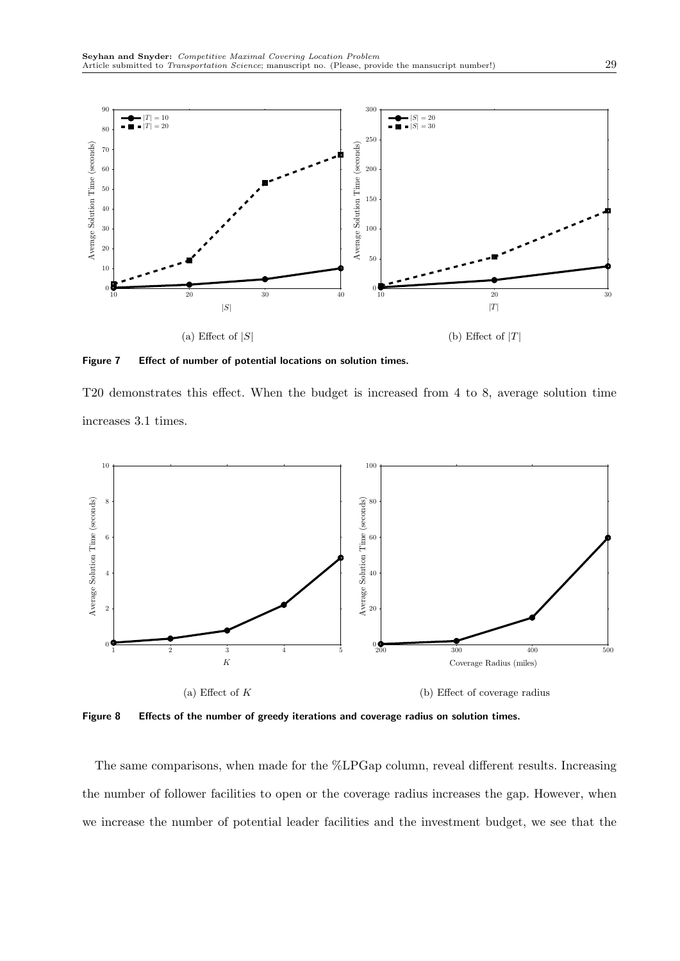

**Figure 7 Effect of number of potential locations on solution times.**

T20 demonstrates this effect. When the budget is increased from 4 to 8, average solution time increases 3.1 times.



**Figure 8 Effects of the number of greedy iterations and coverage radius on solution times.**

The same comparisons, when made for the %LPGap column, reveal different results. Increasing the number of follower facilities to open or the coverage radius increases the gap. However, when we increase the number of potential leader facilities and the investment budget, we see that the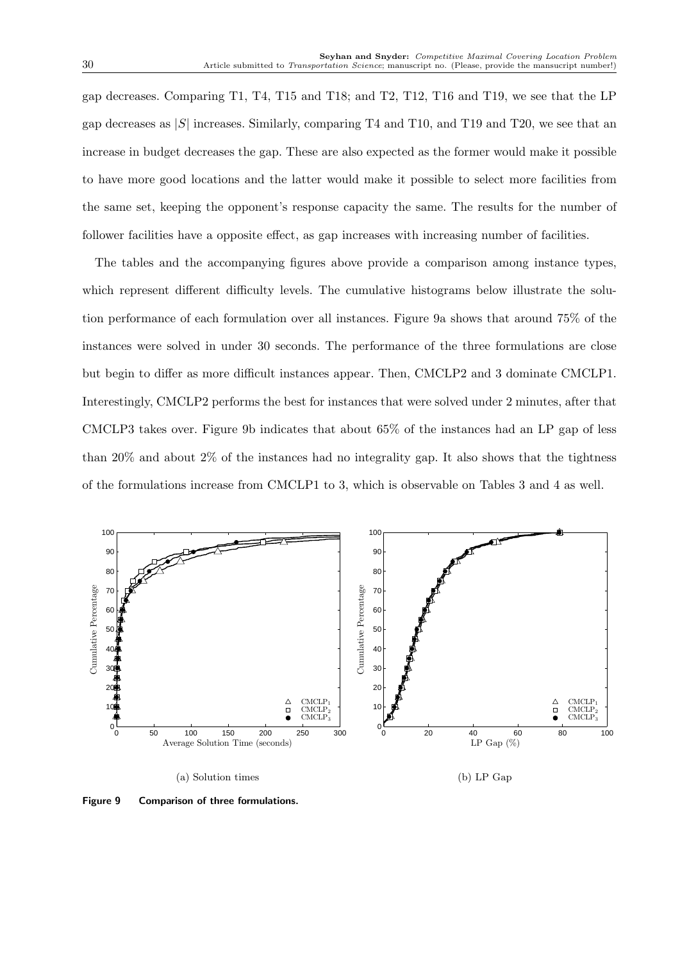gap decreases. Comparing T1, T4, T15 and T18; and T2, T12, T16 and T19, we see that the LP gap decreases as *|S|* increases. Similarly, comparing T4 and T10, and T19 and T20, we see that an increase in budget decreases the gap. These are also expected as the former would make it possible to have more good locations and the latter would make it possible to select more facilities from the same set, keeping the opponent's response capacity the same. The results for the number of follower facilities have a opposite effect, as gap increases with increasing number of facilities.

The tables and the accompanying figures above provide a comparison among instance types, which represent different difficulty levels. The cumulative histograms below illustrate the solution performance of each formulation over all instances. Figure 9a shows that around 75% of the instances were solved in under 30 seconds. The performance of the three formulations are close but begin to differ as more difficult instances appear. Then, CMCLP2 and 3 dominate CMCLP1. Interestingly, CMCLP2 performs the best for instances that were solved under 2 minutes, after that CMCLP3 takes over. Figure 9b indicates that about 65% of the instances had an LP gap of less than 20% and about 2% of the instances had no integrality gap. It also shows that the tightness of the formulations increase from CMCLP1 to 3, which is observable on Tables 3 and 4 as well.



**Figure 9 Comparison of three formulations.**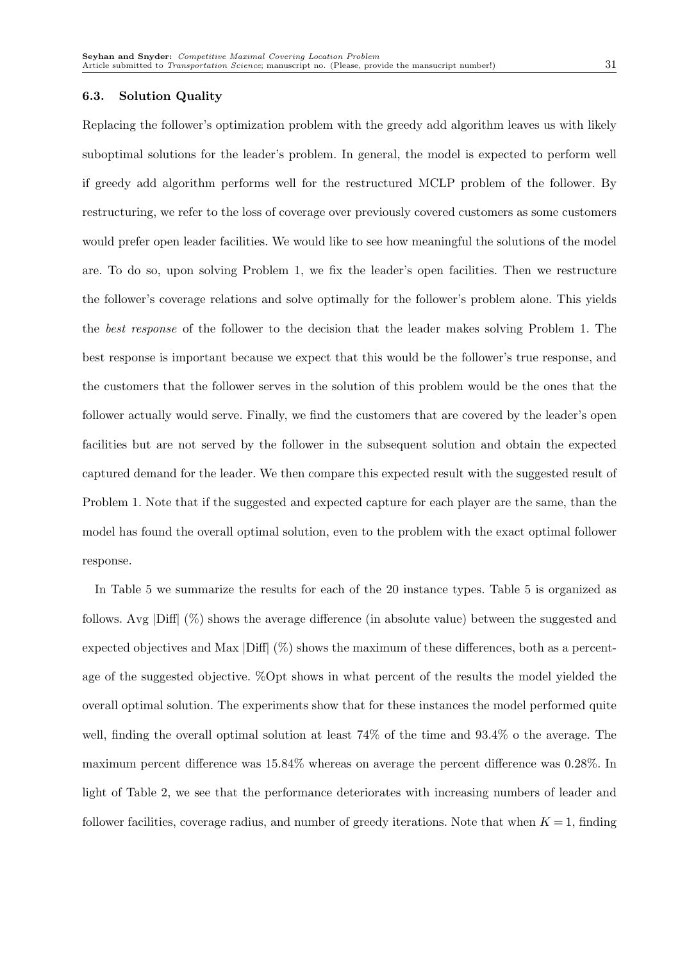#### **6.3. Solution Quality**

Replacing the follower's optimization problem with the greedy add algorithm leaves us with likely suboptimal solutions for the leader's problem. In general, the model is expected to perform well if greedy add algorithm performs well for the restructured MCLP problem of the follower. By restructuring, we refer to the loss of coverage over previously covered customers as some customers would prefer open leader facilities. We would like to see how meaningful the solutions of the model are. To do so, upon solving Problem 1, we fix the leader's open facilities. Then we restructure the follower's coverage relations and solve optimally for the follower's problem alone. This yields the *best response* of the follower to the decision that the leader makes solving Problem 1. The best response is important because we expect that this would be the follower's true response, and the customers that the follower serves in the solution of this problem would be the ones that the follower actually would serve. Finally, we find the customers that are covered by the leader's open facilities but are not served by the follower in the subsequent solution and obtain the expected captured demand for the leader. We then compare this expected result with the suggested result of Problem 1. Note that if the suggested and expected capture for each player are the same, than the model has found the overall optimal solution, even to the problem with the exact optimal follower response.

In Table 5 we summarize the results for each of the 20 instance types. Table 5 is organized as follows. Avg *|*Diff*|* (%) shows the average difference (in absolute value) between the suggested and expected objectives and Max *|*Diff*|* (%) shows the maximum of these differences, both as a percentage of the suggested objective. %Opt shows in what percent of the results the model yielded the overall optimal solution. The experiments show that for these instances the model performed quite well, finding the overall optimal solution at least 74% of the time and 93.4% o the average. The maximum percent difference was 15.84% whereas on average the percent difference was 0.28%. In light of Table 2, we see that the performance deteriorates with increasing numbers of leader and follower facilities, coverage radius, and number of greedy iterations. Note that when  $K = 1$ , finding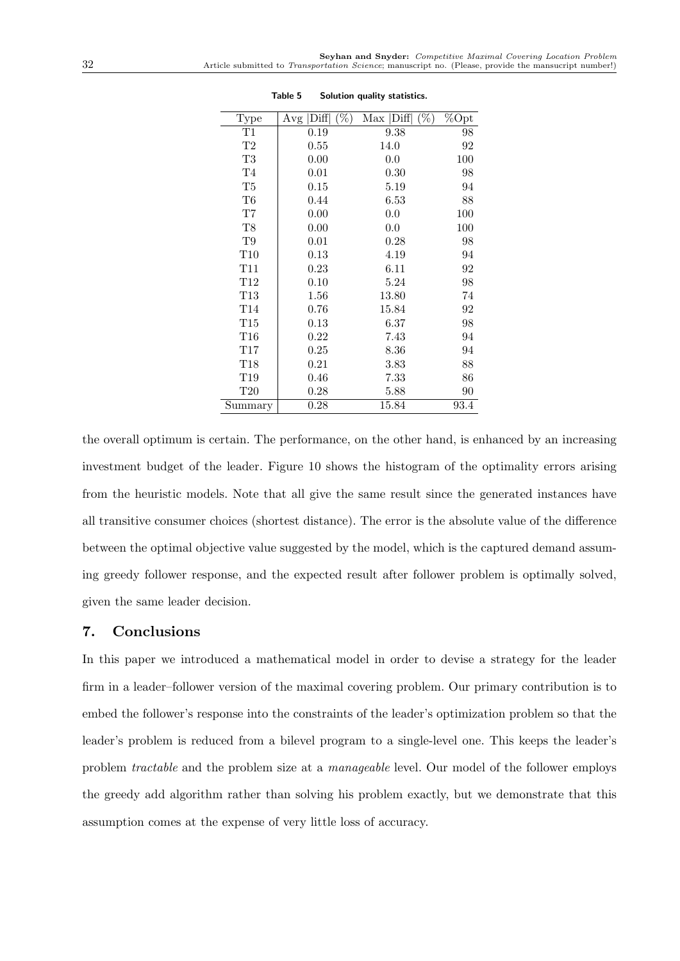| Type            | $\overline{\%})$<br>$\rm  Diff $<br>Avg | $(\%)$<br>Max<br> Diff | $\%\mathrm{Opt}$ |
|-----------------|-----------------------------------------|------------------------|------------------|
| T1              | 0.19                                    | 9.38                   | 98               |
| T2              | 0.55                                    | 14.0                   | 92               |
| T <sub>3</sub>  | 0.00                                    | 0.0                    | 100              |
| T4              | 0.01                                    | 0.30                   | 98               |
| T <sub>5</sub>  | 0.15                                    | 5.19                   | 94               |
| T <sub>6</sub>  | 0.44                                    | 6.53                   | 88               |
| T7              | 0.00                                    | 0.0                    | 100              |
| T8              | 0.00                                    | 0.0                    | 100              |
| T9              | 0.01                                    | 0.28                   | 98               |
| T10             | 0.13                                    | 4.19                   | 94               |
| T11             | 0.23                                    | 6.11                   | 92               |
| T <sub>12</sub> | 0.10                                    | 5.24                   | 98               |
| T13             | 1.56                                    | 13.80                  | 74               |
| T <sub>14</sub> | 0.76                                    | 15.84                  | 92               |
| T15             | 0.13                                    | 6.37                   | 98               |
| T16             | 0.22                                    | 7.43                   | 94               |
| T17             | 0.25                                    | $8.36\,$               | 94               |
| T <sub>18</sub> | 0.21                                    | 3.83                   | 88               |
| T19             | 0.46                                    | 7.33                   | 86               |
| T20             | 0.28                                    | 5.88                   | 90               |
| Summary         | 0.28                                    | 15.84                  | 93.4             |

**Table 5 Solution quality statistics.**

the overall optimum is certain. The performance, on the other hand, is enhanced by an increasing investment budget of the leader. Figure 10 shows the histogram of the optimality errors arising from the heuristic models. Note that all give the same result since the generated instances have all transitive consumer choices (shortest distance). The error is the absolute value of the difference between the optimal objective value suggested by the model, which is the captured demand assuming greedy follower response, and the expected result after follower problem is optimally solved, given the same leader decision.

## **7. Conclusions**

In this paper we introduced a mathematical model in order to devise a strategy for the leader firm in a leader–follower version of the maximal covering problem. Our primary contribution is to embed the follower's response into the constraints of the leader's optimization problem so that the leader's problem is reduced from a bilevel program to a single-level one. This keeps the leader's problem *tractable* and the problem size at a *manageable* level. Our model of the follower employs the greedy add algorithm rather than solving his problem exactly, but we demonstrate that this assumption comes at the expense of very little loss of accuracy.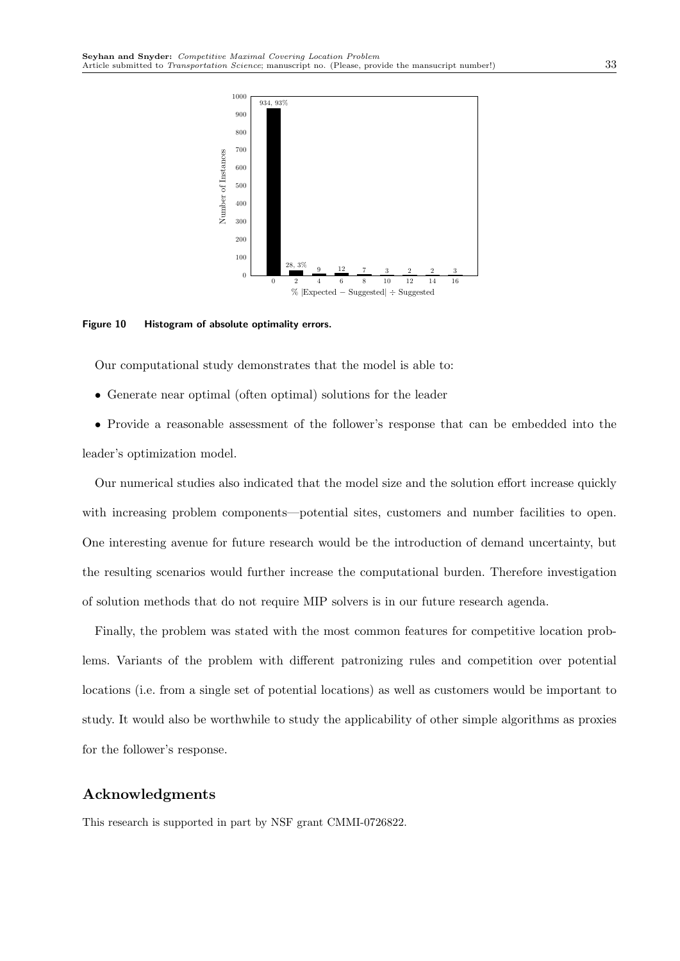

**Figure 10 Histogram of absolute optimality errors.**

Our computational study demonstrates that the model is able to:

- Generate near optimal (often optimal) solutions for the leader
- Provide a reasonable assessment of the follower's response that can be embedded into the leader's optimization model.

Our numerical studies also indicated that the model size and the solution effort increase quickly with increasing problem components—potential sites, customers and number facilities to open. One interesting avenue for future research would be the introduction of demand uncertainty, but the resulting scenarios would further increase the computational burden. Therefore investigation of solution methods that do not require MIP solvers is in our future research agenda.

Finally, the problem was stated with the most common features for competitive location problems. Variants of the problem with different patronizing rules and competition over potential locations (i.e. from a single set of potential locations) as well as customers would be important to study. It would also be worthwhile to study the applicability of other simple algorithms as proxies for the follower's response.

## **Acknowledgments**

This research is supported in part by NSF grant CMMI-0726822.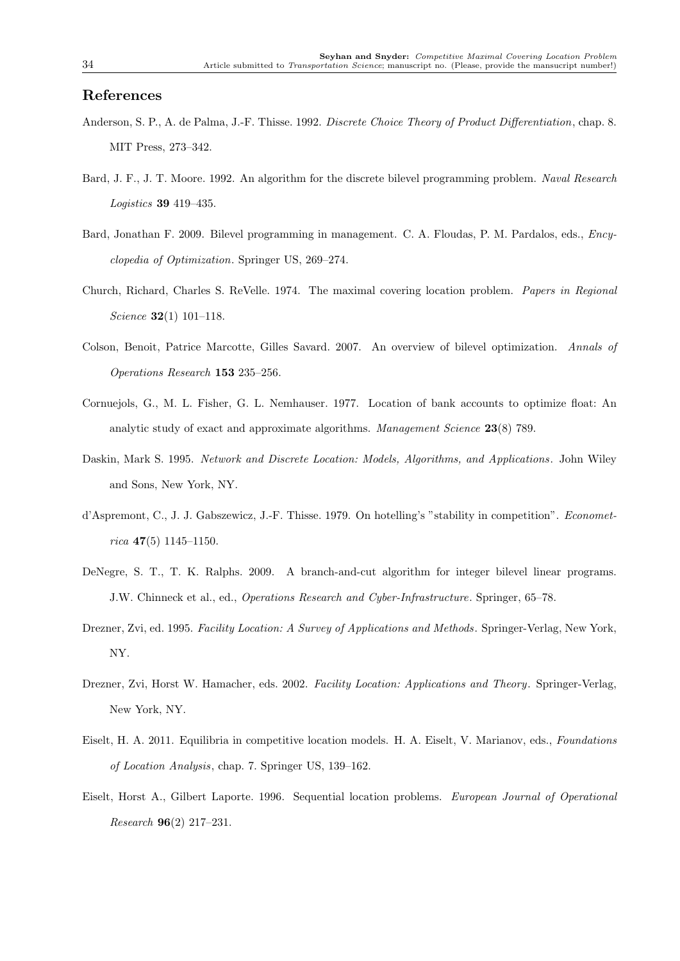#### **References**

- Anderson, S. P., A. de Palma, J.-F. Thisse. 1992. *Discrete Choice Theory of Product Differentiation*, chap. 8. MIT Press, 273–342.
- Bard, J. F., J. T. Moore. 1992. An algorithm for the discrete bilevel programming problem. *Naval Research Logistics* **39** 419–435.
- Bard, Jonathan F. 2009. Bilevel programming in management. C. A. Floudas, P. M. Pardalos, eds., *Encyclopedia of Optimization*. Springer US, 269–274.
- Church, Richard, Charles S. ReVelle. 1974. The maximal covering location problem. *Papers in Regional Science* **32**(1) 101–118.
- Colson, Benoit, Patrice Marcotte, Gilles Savard. 2007. An overview of bilevel optimization. *Annals of Operations Research* **153** 235–256.
- Cornuejols, G., M. L. Fisher, G. L. Nemhauser. 1977. Location of bank accounts to optimize float: An analytic study of exact and approximate algorithms. *Management Science* **23**(8) 789.
- Daskin, Mark S. 1995. *Network and Discrete Location: Models, Algorithms, and Applications*. John Wiley and Sons, New York, NY.
- d'Aspremont, C., J. J. Gabszewicz, J.-F. Thisse. 1979. On hotelling's "stability in competition". *Econometrica* **47**(5) 1145–1150.
- DeNegre, S. T., T. K. Ralphs. 2009. A branch-and-cut algorithm for integer bilevel linear programs. J.W. Chinneck et al., ed., *Operations Research and Cyber-Infrastructure*. Springer, 65–78.
- Drezner, Zvi, ed. 1995. *Facility Location: A Survey of Applications and Methods*. Springer-Verlag, New York, NY.
- Drezner, Zvi, Horst W. Hamacher, eds. 2002. *Facility Location: Applications and Theory*. Springer-Verlag, New York, NY.
- Eiselt, H. A. 2011. Equilibria in competitive location models. H. A. Eiselt, V. Marianov, eds., *Foundations of Location Analysis*, chap. 7. Springer US, 139–162.
- Eiselt, Horst A., Gilbert Laporte. 1996. Sequential location problems. *European Journal of Operational Research* **96**(2) 217–231.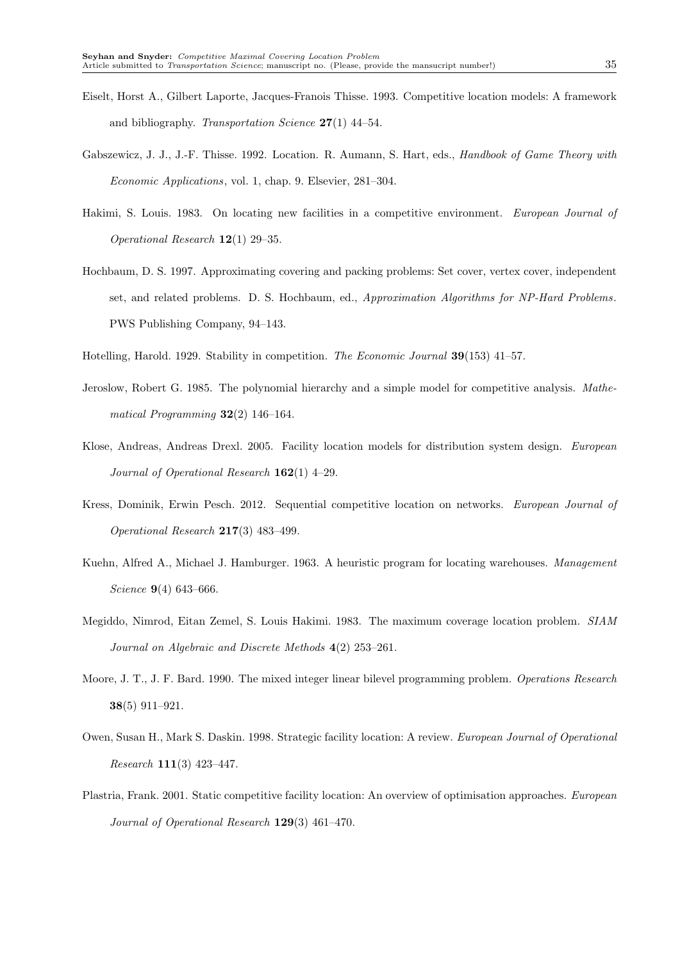- Eiselt, Horst A., Gilbert Laporte, Jacques-Franois Thisse. 1993. Competitive location models: A framework and bibliography. *Transportation Science* **27**(1) 44–54.
- Gabszewicz, J. J., J.-F. Thisse. 1992. Location. R. Aumann, S. Hart, eds., *Handbook of Game Theory with Economic Applications*, vol. 1, chap. 9. Elsevier, 281–304.
- Hakimi, S. Louis. 1983. On locating new facilities in a competitive environment. *European Journal of Operational Research* **12**(1) 29–35.
- Hochbaum, D. S. 1997. Approximating covering and packing problems: Set cover, vertex cover, independent set, and related problems. D. S. Hochbaum, ed., *Approximation Algorithms for NP-Hard Problems*. PWS Publishing Company, 94–143.
- Hotelling, Harold. 1929. Stability in competition. *The Economic Journal* **39**(153) 41–57.
- Jeroslow, Robert G. 1985. The polynomial hierarchy and a simple model for competitive analysis. *Mathematical Programming* **32**(2) 146–164.
- Klose, Andreas, Andreas Drexl. 2005. Facility location models for distribution system design. *European Journal of Operational Research* **162**(1) 4–29.
- Kress, Dominik, Erwin Pesch. 2012. Sequential competitive location on networks. *European Journal of Operational Research* **217**(3) 483–499.
- Kuehn, Alfred A., Michael J. Hamburger. 1963. A heuristic program for locating warehouses. *Management Science* **9**(4) 643–666.
- Megiddo, Nimrod, Eitan Zemel, S. Louis Hakimi. 1983. The maximum coverage location problem. *SIAM Journal on Algebraic and Discrete Methods* **4**(2) 253–261.
- Moore, J. T., J. F. Bard. 1990. The mixed integer linear bilevel programming problem. *Operations Research* **38**(5) 911–921.
- Owen, Susan H., Mark S. Daskin. 1998. Strategic facility location: A review. *European Journal of Operational Research* **111**(3) 423–447.
- Plastria, Frank. 2001. Static competitive facility location: An overview of optimisation approaches. *European Journal of Operational Research* **129**(3) 461–470.